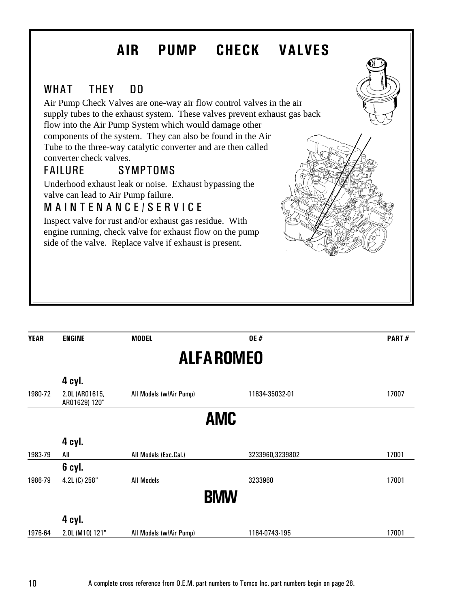### WHAT THEY DO

Air Pump Check Valves are one-way air flow control valves in the air supply tubes to the exhaust system. These valves prevent exhaust gas back flow into the Air Pump System which would damage other components of the system. They can also be found in the Air Tube to the three-way catalytic converter and are then called converter check valves.

### FAILURE SYMPTOMS

Underhood exhaust leak or noise. Exhaust bypassing the valve can lead to Air Pump failure.

### MAINTENANCE/SERVICE

Inspect valve for rust and/or exhaust gas residue. With engine running, check valve for exhaust flow on the pump side of the valve. Replace valve if exhaust is present.



| <b>YEAR</b> | <b>ENGINE</b>                   | <b>MODEL</b>            | <b>OE#</b>      | PART# |  |
|-------------|---------------------------------|-------------------------|-----------------|-------|--|
|             | <b>ALFAROMEO</b>                |                         |                 |       |  |
|             | 4 cyl.                          |                         |                 |       |  |
| 1980-72     | 2.0L (AR01615,<br>AR01629) 120" | All Models (w/Air Pump) | 11634-35032-01  | 17007 |  |
|             |                                 |                         | <b>AMC</b>      |       |  |
|             | 4 cyl.                          |                         |                 |       |  |
| 1983-79     | All                             | All Models (Exc.Cal.)   | 3233960,3239802 | 17001 |  |
|             | 6 cyl.                          |                         |                 |       |  |
| 1986-79     | 4.2L (C) 258"                   | <b>All Models</b>       | 3233960         | 17001 |  |
|             |                                 |                         | <b>BMW</b>      |       |  |
|             | 4 cyl.                          |                         |                 |       |  |
| 1976-64     | 2.0L (M10) 121"                 | All Models (w/Air Pump) | 1164-0743-195   | 17001 |  |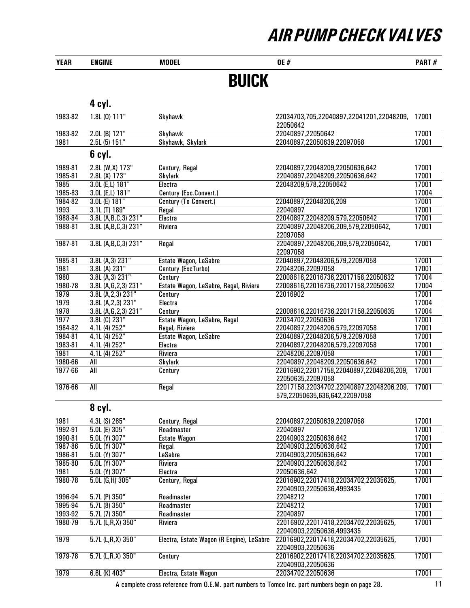| <b>YEAR</b> | <b>ENGINE</b>          | <b>MODEL</b>                              | <b>OE#</b>                                                                | PART# |
|-------------|------------------------|-------------------------------------------|---------------------------------------------------------------------------|-------|
|             |                        | <b>BUICK</b>                              |                                                                           |       |
|             | 4 cyl.                 |                                           |                                                                           |       |
| 1983-82     | 1.8L (0) 111"          | Skyhawk                                   | 22034703,705,22040897,22041201,22048209, 17001<br>22050642                |       |
| 1983-82     | 2.0L (B) 121"          | Skyhawk                                   | 22040897,22050642                                                         | 17001 |
| 1981        | 2.5L(5) 151"           | Skyhawk, Skylark                          | 22040897,22050639,22097058                                                | 17001 |
|             | 6 cyl.                 |                                           |                                                                           |       |
| 1989-81     | 2.8L (W,X) 173"        | Century, Regal                            | 22040897,22048209,22050636,642                                            | 17001 |
| 1985-81     | 2.8L (X) 173"          | <b>Skylark</b>                            | 22040897,22048209,22050636,642                                            | 17001 |
| 1985        | 3.0L (E,L) 181"        | Electra                                   | 22048209,578,22050642                                                     | 17001 |
| 1985-83     | 3.0L (E,L) 181"        | Century (Exc.Convert.)                    |                                                                           | 17004 |
| 1984-82     | 3.0L (E) 181"          | Century (To Convert.)                     | 22040897,22048206,209                                                     | 17001 |
| 1993        | 3.1L (T) 189"          | Regal                                     | 22040897                                                                  | 17001 |
| 1988-84     | 3.8L (A,B,C,3) 231"    | Electra                                   | 22040897,22048209,579,22050642                                            | 17001 |
| 1988-81     | 3.8L (A,B,C,3) 231"    | Riviera                                   | 22040897,22048206,209,579,22050642,                                       | 17001 |
|             |                        |                                           | 22097058                                                                  |       |
| 1987-81     | 3.8L (A,B,C,3) 231"    | Regal                                     | 22040897,22048206,209,579,22050642,<br>22097058                           | 17001 |
| 1985-81     | 3.8L (A,3) 231"        | Estate Wagon, LeSabre                     | 22040897,22048206,579,22097058                                            | 17001 |
| 1981        | 3.8L (A) 231"          | Century (ExcTurbo)                        | 22048206,22097058                                                         | 17001 |
| 1980        | 3.8L (A, 3) 231"       | Century                                   | 22008616,22016736,22017158,22050632                                       | 17004 |
| 1980-78     | 3.8L (A, G, 2, 3) 231" | Estate Wagon, LeSabre, Regal, Riviera     | 22008616,22016736,22017158,22050632                                       | 17004 |
| 1979        | 3.8L (A, 2, 3) 231"    | Century                                   | 22016902                                                                  | 17001 |
| 1979        | 3.8L (A, 2, 3) 231"    | Electra                                   |                                                                           | 17004 |
| 1978        | 3.8L (A,G,2,3) 231"    | Century                                   | 22008616,22016736,22017158,22050635                                       | 17004 |
| 1977        | $3.8L$ (C) $231"$      | Estate Wagon, LeSabre, Regal              | 22034702,22050636                                                         | 17001 |
| 1984-82     | 4.1L (4) 252"          | Regal, Riviera                            | 22040897,22048206,579,22097058                                            | 17001 |
| 1984-81     | 4.1L (4) 252"          | Estate Wagon, LeSabre                     | 22040897,22048206,579,22097058                                            | 17001 |
| 1983-81     | 4.1L (4) 252"          | Electra                                   | 22040897,22048206,579,22097058                                            | 17001 |
| 1981        | 4.1L (4) 252"          | Riviera                                   | 22048206,22097058                                                         | 17001 |
| 1980-66     | All                    | <b>Skylark</b>                            | 22040897,22048209,22050636,642                                            | 17001 |
| 1977-66     | All                    | Century                                   | 22016902,22017158,22040897,22048206,209,<br>22050635,22097058             | 17001 |
| 1976-66     | All                    | Regal                                     | 22017158,22034702,22040897,22048206,209,<br>579,22050635,636,642,22097058 | 17001 |
|             | 8 cyl.                 |                                           |                                                                           |       |
| 1981        | 4.3L (S) 265"          | Century, Regal                            | 22040897,22050639,22097058                                                | 17001 |
| 1992-91     | $5.0L$ (E) $305"$      | Roadmaster                                | 22040897                                                                  | 17001 |
| 1990-81     | 5.0L (Y) 307"          | <b>Estate Wagon</b>                       | 22040903,22050636,642                                                     | 17001 |
| 1987-86     | 5.0L (Y) 307"          | Regal                                     | 22040903,22050636,642                                                     | 17001 |
| 1986-81     | 5.0L (Y) 307"          | <b>LeSabre</b>                            | 22040903,22050636,642                                                     | 17001 |
| 1985-80     | 5.0L (Y) 307"          | Riviera                                   | 22040903,22050636,642                                                     | 17001 |
| 1981        | 5.0L (Y) 307"          | Electra                                   | 22050636,642                                                              | 17001 |
| 1980-78     | $5.0L$ (G,H) $305"$    | Century, Regal                            | 22016902,22017418,22034702,22035625,<br>22040903,22050636,4993435         | 17001 |
| 1996-94     | $5.7L$ (P) $350"$      | Roadmaster                                | 22048212                                                                  | 17001 |
| 1995-94     | 5.7L(8)350"            | Roadmaster                                | 22048212                                                                  | 17001 |
| 1993-92     | 5.7L (7) 350"          | Roadmaster                                | 22040897                                                                  | 17001 |
| 1980-79     | $5.7L$ (L,R,X) 350"    | Riviera                                   | 22016902,22017418,22034702,22035625,<br>22040903,22050636,4993435         | 17001 |
| 1979        | $5.7L$ (L,R,X) 350"    | Electra, Estate Wagon (R Engine), LeSabre | 22016902,22017418,22034702,22035625,<br>22040903,22050636                 | 17001 |
| 1979-78     | $5.7L$ (L,R,X) 350"    | Century                                   | 22016902, 22017418, 22034702, 22035625,<br>22040903,22050636              | 17001 |
| 1979        | $6.6L$ (K) $403"$      | Electra, Estate Wagon                     | 22034702,22050636                                                         | 17001 |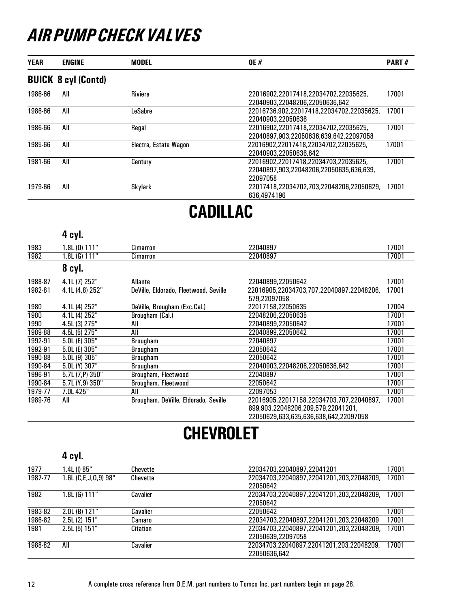| <b>YEAR</b> | <b>ENGINE</b>              | <b>MODEL</b>          | <b>OE#</b>                                                                                  | <b>PART#</b> |
|-------------|----------------------------|-----------------------|---------------------------------------------------------------------------------------------|--------------|
|             | <b>BUICK 8 cyl (Contd)</b> |                       |                                                                                             |              |
| 1986-66     | All                        | <b>Riviera</b>        | 22016902.22017418.22034702.22035625.<br>22040903.22048206.22050636.642                      | 17001        |
| 1986-66     | All                        | LeSabre               | 22016736.902.22017418.22034702.22035625.<br>22040903.22050636                               | 17001        |
| 1986-66     | All                        | Regal                 | 22016902.22017418.22034702.22035625.<br>22040897.903.22050636.639.642.22097058              | 17001        |
| 1985-66     | All                        | Electra, Estate Wagon | 22016902.22017418.22034702.22035625.<br>22040903.22050636.642                               | 17001        |
| 1981-66     | All                        | Century               | 22016902.22017418.22034703.22035625.<br>22040897.903.22048206.22050635.636.639.<br>22097058 | 17001        |
| 1979-66     | All                        | Skylark               | 22017418.22034702.703.22048206.22050629.<br>636.4974196                                     | 17001        |

## CADILLAC

### 4 cyl.

| 1983    | 1.8L (0) 111"    | Cimarron                              | 22040897                                 | 17001 |
|---------|------------------|---------------------------------------|------------------------------------------|-------|
| 1982    | 1.8L (G) 111"    | Cimarron                              | 22040897                                 | 17001 |
|         | 8 cyl.           |                                       |                                          |       |
| 1988-87 | 4.1L (7) 252"    | Allante                               | 22040899,22050642                        | 17001 |
| 1982-81 | 4.1L (4.8) 252"  | DeVille, Eldorado, Fleetwood, Seville | 22016905.22034703.707.22040897.22048206. | 17001 |
|         |                  |                                       | 579,22097058                             |       |
| 1980    | 4.1L (4) 252"    | DeVille, Brougham (Exc.Cal.)          | 22017158.22050635                        | 17004 |
| 1980    | 4.1L (4) 252"    | Brougham (Cal.)                       | 22048206,22050635                        | 17001 |
| 1990    | 4.5L (3) 275"    | All                                   | 22040899.22050642                        | 17001 |
| 1989-88 | 4.5L (5) 275"    | All                                   | 22040899,22050642                        | 17001 |
| 1992-91 | 5.0L (E) 305"    | Brougham                              | 22040897                                 | 17001 |
| 1992-91 | 5.0L (E) 305"    | Brougham                              | 22050642                                 | 17001 |
| 1990-88 | 5.0L(9)305"      | Brougham                              | 22050642                                 | 17001 |
| 1990-84 | 5.0L (Y) 307"    | Brougham                              | 22040903.22048206.22050636.642           | 17001 |
| 1996-91 | $5.7L(7,P)$ 350" | Brougham, Fleetwood                   | 22040897                                 | 17001 |
| 1990-84 | 5.7L (Y,9) 350"  | Brougham, Fleetwood                   | 22050642                                 | 17001 |
| 1979-77 | 7.0L 425"        | All                                   | 22097053                                 | 17001 |
| 1989-76 | All              | Brougham, DeVille, Eldorado, Seville  | 22016905,22017158,22034703,707,22040897, | 17001 |
|         |                  |                                       | 899,903,22048206,209,579,22041201,       |       |
|         |                  |                                       | 22050629,633,635,636,638,642,22097058    |       |

# **CHEVROLET**

|         | 4 cyl.               |                 |                                          |       |
|---------|----------------------|-----------------|------------------------------------------|-------|
| 1977    | 1.4L (I) 85"         | Chevette        | 22034703.22040897.22041201               | 17001 |
| 1987-77 | 1.6L (C,E,J,O,9) 98" | <b>Chevette</b> | 22034703.22040897.22041201.203.22048209. | 17001 |
|         |                      |                 | 22050642                                 |       |
| 1982    | 1.8L (G) 111"        | Cavalier        | 22034703,22040897,22041201,203,22048209, | 17001 |
|         |                      |                 | 22050642                                 |       |
| 1983-82 | $2.0L$ (B) $121"$    | Cavalier        | 22050642                                 | 17001 |
| 1986-82 | $2.5L(2)$ 151"       | Camaro          | 22034703.22040897.22041201.203.22048209  | 17001 |
| 1981    | $2.5L(5)$ 151"       | Citation        | 22034703,22040897,22041201,203,22048209, | 17001 |
|         |                      |                 | 22050639,22097058                        |       |
| 1988-82 | All                  | Cavalier        | 22034703,22040897,22041201,203,22048209, | 17001 |
|         |                      |                 | 22050636.642                             |       |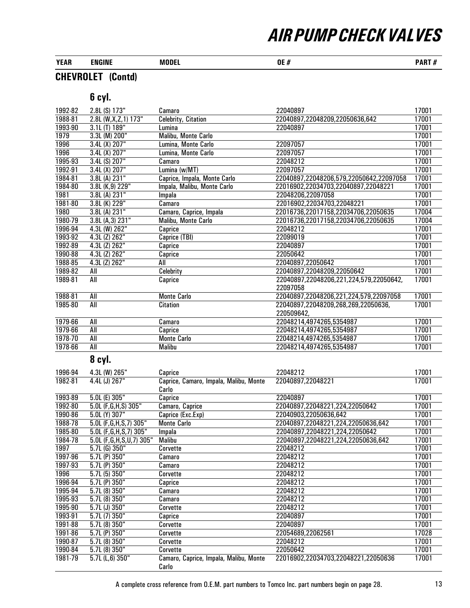| <b>YEAR</b> | ENGINE | MODEL | 0E<br>Н<br>__ | PART#<br>,,, |
|-------------|--------|-------|---------------|--------------|
|-------------|--------|-------|---------------|--------------|

### CHEVROLET (Contd)

| 1992-82 | 2.8L (S) 173"                 | Camaro                                 | 22040897                                | 17001 |
|---------|-------------------------------|----------------------------------------|-----------------------------------------|-------|
| 1988-81 | 2.8L (W, X, Z, 1) 173"        | Celebrity, Citation                    | 22040897,22048209,22050636,642          | 17001 |
| 1993-90 | 3.1L (T) 189"                 | Lumina                                 | 22040897                                | 17001 |
| 1979    | 3.3L (M) 200"                 | Malibu, Monte Carlo                    |                                         | 17001 |
| 1996    | 3.4L(X) 207"                  | Lumina, Monte Carlo                    | 22097057                                | 17001 |
| 1996    | 3.4L(X) 207"                  | Lumina, Monte Carlo                    | 22097057                                | 17001 |
| 1995-93 | 3.4L (S) 207"                 | Camaro                                 | 22048212                                | 17001 |
| 1992-91 | 3.4L (X) 207"                 | Lumina (w/MT)                          | 22097057                                | 17001 |
| 1984-81 | 3.8L (A) 231"                 | Caprice, Impala, Monte Carlo           | 22040897,22048206,579,22050642,22097058 | 17001 |
| 1984-80 | 3.8L (K,9) 229"               | Impala, Malibu, Monte Carlo            | 22016902,22034703,22040897,22048221     | 17001 |
| 1981    | 3.8L (A) 231"                 | Impala                                 | 22048206,22097058                       | 17001 |
| 1981-80 | 3.8L (K) 229"                 | Camaro                                 | 22016902,22034703,22048221              | 17001 |
| 1980    | 3.8L (A) 231"                 | Camaro, Caprice, Impala                | 22016736,22017158,22034706,22050635     | 17004 |
| 1980-79 | 3.8L (A,3) 231"               | Malibu, Monte Carlo                    | 22016736,22017158,22034706,22050635     | 17004 |
| 1996-94 | 4.3L (W) 262"                 | Caprice                                | 22048212                                | 17001 |
| 1993-92 | 4.3L (Z) 262"                 | Caprice (TBI)                          | 22099019                                | 17001 |
| 1992-89 | 4.3L (Z) 262"                 | Caprice                                | 22040897                                | 17001 |
| 1990-88 | 4.3L (Z) 262"                 | Caprice                                | 22050642                                | 17001 |
| 1988-85 | 4.3L (Z) 262"                 | All                                    | 22040897,22050642                       | 17001 |
| 1989-82 | All                           | Celebrity                              | 22040897,22048209,22050642              | 17001 |
| 1989-81 | All                           | Caprice                                | 22040897,22048206,221,224,579,22050642, | 17001 |
|         |                               |                                        | 22097058                                |       |
| 1988-81 | All                           | <b>Monte Carlo</b>                     | 22040897,22048206,221,224,579,22097058  | 17001 |
| 1985-80 | All                           | <b>Citation</b>                        | 22040897,22048209,268,269,22050636,     | 17001 |
|         |                               |                                        | 220509642,                              |       |
| 1979-66 | All                           | Camaro                                 | 22048214,4974265,5354987                | 17001 |
| 1979-66 | $\overline{All}$              | Caprice                                | 22048214,4974265,5354987                | 17001 |
| 1978-70 | <b>All</b>                    | <b>Monte Carlo</b>                     | 22048214,4974265,5354987                | 17001 |
| 1978-66 | All                           | Malibu                                 | 22048214,4974265,5354987                | 17001 |
|         | 8 cyl.                        |                                        |                                         |       |
| 1996-94 | 4.3L (W) 265"                 | Caprice                                | 22048212                                | 17001 |
| 1982-81 | 4.4L (J) 267"                 | Caprice, Camaro, Impala, Malibu, Monte | 22040897,22048221                       | 17001 |
|         |                               | Carlo                                  |                                         |       |
| 1993-89 | $5.0L$ (E) $305"$             | Caprice                                | 22040897                                | 17001 |
| 1992-80 | 5.0L (F,G,H,S) 305"           | Camaro, Caprice                        | 22040897,22048221,224,22050642          | 17001 |
| 1990-86 | 5.0L (Y) 307"                 | Caprice (Exc.Exp)                      | 22040903,22050636,642                   | 17001 |
| 1988-78 | 5.0L (F,G,H,S,7) 305"         | <b>Monte Carlo</b>                     | 22040897,22048221,224,22050636,642      | 17001 |
| 1985-80 | 5.0L (F,G,H,S,7) 305"         | Impala                                 | 22040897,22048221,224,22050642          | 17001 |
| 1984-78 | 5.0L (F,G,H,S,U,7) 305"       | Malibu                                 | 22040897,22048221,224,22050636,642      | 17001 |
| 1997    | $5.7L$ (G) $350"$             | Corvette                               | 22048212                                | 17001 |
| 1997-96 | $5.7L$ (P) $350"$             | Camaro                                 | 22048212                                | 17001 |
| 1997-93 | $\overline{5.7}$ L $(P)$ 350" | Camaro                                 | 22048212                                | 17001 |
| 1996    | $5.7L(5)$ 350"                | Corvette                               | 22048212                                | 17001 |
| 1996-94 | 5.7L (P) 350"                 | Caprice                                | 22048212                                | 17001 |
| 1995-94 | 5.7L (8) 350"                 | Camaro                                 | 22048212                                | 17001 |
| 1995-93 | 5.7L (8) 350"                 | Camaro                                 | 22048212                                | 17001 |
| 1995-90 | 5.7L (J) 350"                 | Corvette                               | 22048212                                | 17001 |
| 1993-91 | 5.7L (7) 350"                 | Caprice                                | 22040897                                | 17001 |
| 1991-88 | 5.7L(8)350"                   | Corvette                               | 22040897                                | 17001 |
| 1991-86 | $5.7L$ (P) $350"$             | Corvette                               | 22054689,22062561                       | 17028 |
| 1990-87 | 5.7L (8) 350"                 | Corvette                               | 22048212                                | 17001 |
| 1990-84 | 5.7L (8) 350"                 | Corvette                               | 22050642                                | 17001 |
| 1981-79 | $5.7L$ (L,6) $350"$           | Camaro, Caprice, Impala, Malibu, Monte | 22016902,22034703,22048221,22050636     | 17001 |
|         |                               | Carlo                                  |                                         |       |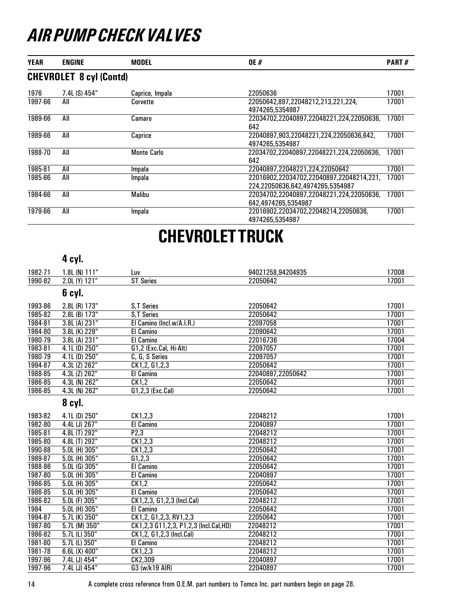| <b>YEAR</b> | <b>ENGINE</b>                  | <b>MODEL</b>       | <b>OE#</b>                                                                   | PART# |
|-------------|--------------------------------|--------------------|------------------------------------------------------------------------------|-------|
|             | <b>CHEVROLET 8 cyl (Contd)</b> |                    |                                                                              |       |
| 1976        | 7.4L (S) 454"                  | Caprice, Impala    | 22050636                                                                     | 17001 |
| 1997-66     | All                            | Corvette           | 22050642.897.22048212.213.221.224.<br>4974265.5354987                        | 17001 |
| 1989-66     | All                            | Camaro             | 22034702,22040897,22048221,224,22050636,<br>642                              | 17001 |
| 1989-66     | All                            | Caprice            | 22040897,903,22048221,224,22050636,642,<br>4974265.5354987                   | 17001 |
| 1988-70     | All                            | <b>Monte Carlo</b> | 22034702.22040897.22048221.224.22050636.<br>642                              | 17001 |
| 1985-81     | All                            | Impala             | 22040897.22048221.224.22050642                                               | 17001 |
| 1985-66     | All                            | Impala             | 22016902,22034702,22040897,22048214,221,<br>224.22050636.642.4974265.5354987 | 17001 |
| 1984-66     | All                            | Malibu             | 22034702.22040897.22048221.224.22050636.<br>642.4974265.5354987              | 17001 |
| 1979-66     | All                            | Impala             | 22016902,22034702,22048214,22050636,<br>4974265.5354987                      | 17001 |

## CHEVROLET TRUCK

#### 4 cyl.

| 1982-71 | $1.8L$ (N) $111"$ | Luv                                   | 94021258.94204935 | 17008 |
|---------|-------------------|---------------------------------------|-------------------|-------|
| 1990-82 | 2.0L (Y) 121"     | <b>ST Series</b>                      | 22050642          | 17001 |
|         | 6 cyl.            |                                       |                   |       |
| 1993-86 | 2.8L (R) 173"     | S,T Series                            | 22050642          | 17001 |
| 1985-82 | $2.8L$ (B) $173"$ | <b>S.T Series</b>                     | 22050642          | 17001 |
| 1984-81 | 3.8L (A) 231"     | El Camino (Incl.w/A.I.R.)             | 22097058          | 17001 |
| 1984-80 | 3.8L (K) 229"     | <b>El Camino</b>                      | 22090642          | 17001 |
| 1980-79 | 3.8L (A) 231"     | El Camino                             | 22016736          | 17004 |
| 1983-81 | 4.1L (D) 250"     | G1,2 (Exc.Cal, Hi-Alt)                | 22097057          | 17001 |
| 1980-79 | $4.1L$ (D) $250"$ | C, G, S Series                        | 22097057          | 17001 |
| 1994-87 | $4.3L$ (Z) $262"$ | CK1,2, G1,2,3                         | 22050642          | 17001 |
| 1988-85 | 4.3L (Z) 262"     | El Camino                             | 22040897,22050642 | 17001 |
| 1986-85 | 4.3L (N) 262"     | CK1,2                                 | 22050642          | 17001 |
| 1986-85 | 4.3L (N) 262"     | G1,2,3 (Exc.Cal)                      | 22050642          | 17001 |
|         | 8 cyl.            |                                       |                   |       |
| 1983-82 | 4.1L (D) 250"     | CK1,2,3                               | 22048212          | 17001 |
| 1982-80 | 4.4L (J) 267"     | El Camino                             | 22040897          | 17001 |
| 1985-81 | 4.8L (T) 292"     | P2,3                                  | 22048212          | 17001 |
| 1985-80 | 4.8L (T) 292"     | CK1,2,3                               | 22048212          | 17001 |
| 1990-88 | 5.0L (H) 305"     | CK1,2,3                               | 22050642          | 17001 |
| 1989-87 | $5.0L$ (H) $305"$ | G1,2,3                                | 22050642          | 17001 |
| 1988-86 | $5.0L$ (G) $305"$ | El Camino                             | 22050642          | 17001 |
| 1987-80 | 5.0L (H) 305"     | El Camino                             | 22040897          | 17001 |
| 1986-85 | 5.0L (H) 305"     | CK1,2                                 | 22050642          | 17001 |
| 1986-85 | 5.0L (H) 305"     | El Camino                             | 22050642          | 17001 |
| 1986-82 | 5.0L (F) 305"     | CK1,2,3, G1,2,3 (Incl.Cal)            | 22048212          | 17001 |
| 1984    | $5.0L$ (H) $305"$ | El Camino                             | 22050642          | 17001 |
| 1994-87 | $5.7L$ (K) $350"$ | CK1,2, G1,2,3, RV1,2,3                | 22050642          | 17001 |
| 1987-80 | 5.7L (M) 350"     | CK1,2,3 G11,2,3, P1,2,3 (Incl.Cal,HD) | 22048212          | 17001 |
| 1986-82 | 5.7L (L) 350"     | CK1,2, G1,2,3 (Incl.Cal)              | 22048212          | 17001 |
| 1981-80 | 5.7L (L) 350"     | El Camino                             | 22048212          | 17001 |
| 1981-78 | $6.6L(X)$ 400"    | CK1,2,3                               | 22048212          | 17001 |
| 1997-96 | 7.4L (J) 454"     | CK2,309                               | 22040897          | 17001 |
| 1997-96 | 7.4L (J) 454"     | G3 (w/k19 AIR)                        | 22040897          | 17001 |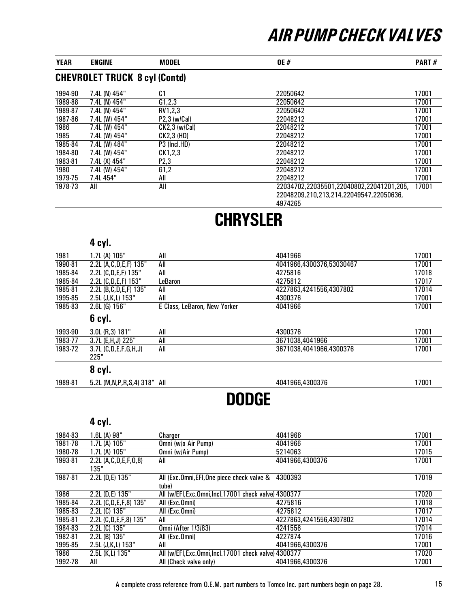| <b>YEAR</b> | ENGINE | MODEL                                | <b>OE#</b> | <b>PART#</b> |
|-------------|--------|--------------------------------------|------------|--------------|
|             |        | <b>CHEVROLET TRUCK 8 cyl (Contd)</b> |            |              |

| 1994-90 | 7.4L (N) 454" | C <sub>1</sub>    | 22050642                                 | 17001 |
|---------|---------------|-------------------|------------------------------------------|-------|
| 1989-88 | 7.4L (N) 454" | G1,2,3            | 22050642                                 | 17001 |
| 1989-87 | 7.4L (N) 454" | RV1,2,3           | 22050642                                 | 17001 |
| 1987-86 | 7.4L (W) 454" | $P2,3$ (w/Cal)    | 22048212                                 | 17001 |
| 1986    | 7.4L (W) 454" | $CK2,3$ (w/Cal)   | 22048212                                 | 17001 |
| 1985    | 7.4L (W) 454" | CK2,3 (HD)        | 22048212                                 | 17001 |
| 1985-84 | 7.4L (W) 484" | P3 (Incl.HD)      | 22048212                                 | 17001 |
| 1984-80 | 7.4L (W) 454" | CK1,2,3           | 22048212                                 | 17001 |
| 1983-81 | 7.4L (X) 454" | P <sub>2</sub> ,3 | 22048212                                 | 17001 |
| 1980    | 7.4L (W) 454" | G1,2              | 22048212                                 | 17001 |
| 1979-75 | 7.4L 454"     | All               | 22048212                                 | 17001 |
| 1978-73 | All           | All               | 22034702,22035501,22040802,22041201,205, | 17001 |
|         |               |                   | 22048209,210,213,214,22049547,22050636,  |       |

4974265

# **CHRYSLER**

### 4 cyl.

| 1981    | 1.7L (A) 105"                  | All                          | 4041966                  | 17001 |
|---------|--------------------------------|------------------------------|--------------------------|-------|
| 1990-81 | 2.2L (A,C,D,E,F) 135"          | All                          | 4041966.4300376.53030467 | 17001 |
| 1985-84 | 2.2L (C,D,E,F) 135"            | All                          | 4275816                  | 17018 |
| 1985-84 | 2.2L (C,D,E,F) 153"            | LeBaron                      | 4275812                  | 17017 |
| 1985-81 | 2.2L (B, C, D, E, F) 135"      | All                          | 4227863.4241556.4307802  | 17014 |
| 1995-85 | 2.5L (J,K,L) 153"              | All                          | 4300376                  | 17001 |
| 1985-83 | $2.6L$ (G) $156"$              | E Class, LeBaron, New Yorker | 4041966                  | 17001 |
|         | 6 cyl.                         |                              |                          |       |
| 1993-90 | 3.0L (R, 3) 181"               | All                          | 4300376                  | 17001 |
| 1983-77 | 3.7L (E,H,J) 225"              | All                          | 3671038,4041966          | 17001 |
| 1983-72 | $3.7L$ (C,D,E,F,G,H,J)<br>225" | All                          | 3671038.4041966.4300376  | 17001 |
|         | $\mathbf{a}$                   |                              |                          |       |

#### 8 cyl.

1989-81 5.2L (M,N,P,R,S,4) 318" All 4041966,4300376 17001

### DODGE

| 1984-83 | 1.6L(A) 98"             | Charger                                                      | 4041966                 | 17001 |
|---------|-------------------------|--------------------------------------------------------------|-------------------------|-------|
| 1981-78 | 1.7L (A) 105"           | Omni (w/o Air Pump)                                          | 4041966                 | 17001 |
| 1980-78 | 1.7L (A) 105"           | Omni (w/Air Pump)                                            | 5214063                 | 17015 |
| 1993-81 | 2.2L (A,C,D,E,F,O,8)    | All                                                          | 4041966.4300376         | 17001 |
| 1987-81 | 135"<br>2.2L (D,E) 135" | All (Exc.Omni, EFI, One piece check valve & 4300393<br>tube) |                         | 17019 |
| 1986    | 2.2L (D,E) 135"         | All (w/EFI, Exc. Omni, Incl. 17001 check valve) 4300377      |                         | 17020 |
| 1985-84 | 2.2L (C,D,E,F,8) 135"   | All (Exc.Omni)                                               | 4275816                 | 17018 |
| 1985-83 | 2.2L (C) 135"           | All (Exc.Omni)                                               | 4275812                 | 17017 |
| 1985-81 | 2.2L (C,D,E,F,8) 135"   | All                                                          | 4227863.4241556.4307802 | 17014 |
| 1984-83 | 2.2L (C) 135"           | <b>Omni (After 1/3/83)</b>                                   | 4241556                 | 17014 |
| 1982-81 | 2.2L (B) 135"           | All (Exc.Omni)                                               | 4227874                 | 17016 |
| 1995-85 | 2.5L (J,K,L) 153"       | All                                                          | 4041966,4300376         | 17001 |
| 1986    | 2.5L (K,L) 135"         | All (w/EFI, Exc. Omni, Incl. 17001 check valve) 4300377      |                         | 17020 |
| 1992-78 | All                     | All (Check valve only)                                       | 4041966.4300376         | 17001 |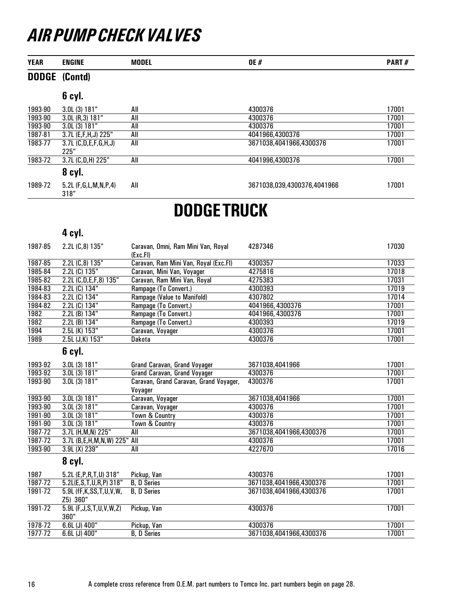| <b>YEAR</b>  | <b>ENGINE</b>                            | <b>MODEL</b>                                      | <b>OE#</b>                  | PART# |
|--------------|------------------------------------------|---------------------------------------------------|-----------------------------|-------|
| <b>DODGE</b> | (Contd)                                  |                                                   |                             |       |
|              | 6 cyl.                                   |                                                   |                             |       |
| 1993-90      | 3.0L (3) 181"                            | All                                               | 4300376                     | 17001 |
| 1993-90      | 3.0L (R, 3) 181"                         | All                                               | 4300376                     | 17001 |
| 1993-90      | 3.0L(3) 181"                             | All                                               | 4300376                     | 17001 |
| 1987-81      | 3.7L (E,F,H,J) 225"                      | All                                               | 4041966,4300376             | 17001 |
| 1983-77      | $3.7L$ (C,D,E,F,G,H,J)<br>225"           | All                                               | 3671038,4041966,4300376     | 17001 |
| 1983-72      | 3.7L (C,D,H) 225"                        | All                                               | 4041996,4300376             | 17001 |
|              | 8 cyl.                                   |                                                   |                             |       |
| 1989-72      | 5.2L (F,G,L,M,N,P,4)<br>318"             | All                                               | 3671038,039,4300376,4041966 | 17001 |
|              |                                          | <b>DODGETRUCK</b>                                 |                             |       |
|              | 4 cyl.                                   |                                                   |                             |       |
|              |                                          |                                                   |                             |       |
| 1987-85      | 2.2L (C,8) 135"                          | Caravan, Omni, Ram Mini Van, Royal<br>(Exc.FI)    | 4287346                     | 17030 |
| 1987-85      | 2.2L (C,8) 135"                          | Caravan, Ram Mini Van, Royal (Exc.FI)             | 4300357                     | 17033 |
| 1985-84      | 2.2L (C) 135"                            | Caravan, Mini Van, Voyager                        | 4275816                     | 17018 |
| 1985-82      | 2.2L (C,D,E,F,8) 135"                    | Caravan, Ram Mini Van, Royal                      | 4275383                     | 17031 |
| 1984-83      | 2.2L (C) 134"                            | Rampage (To Convert.)                             | 4300393                     | 17019 |
| 1984-83      | 2.2L (C) 134"                            | Rampage (Value to Manifold)                       | 4307802                     | 17014 |
| 1984-82      | 2.2L (C) 134"                            | Rampage (To Convert.)                             | 4041966, 4300376            | 17001 |
| 1982         | 2.2L (B) 134"                            | Rampage (To Convert.)                             | 4041966, 4300376            | 17001 |
| 1982         | 2.2L (B) 134"                            | Rampage (To Convert.)                             | 4300393                     | 17019 |
| 1994         | 2.5L (K) 153"                            | Caravan, Voyager                                  | 4300376                     | 17001 |
| 1989         | $2.5L$ (J,K) $153"$                      | Dakota                                            | 4300376                     | 17001 |
|              | 6 cyl.                                   |                                                   |                             |       |
| 1993-92      | 3.0L (3) 181"                            | Grand Caravan, Grand Voyager                      | 3671038,4041966             | 17001 |
| 1993-92      | 3.0L (3) 181"                            | Grand Caravan, Grand Voyager                      | 4300376                     | 17001 |
| 1993-90      | 3.0L(3) 181"                             | Caravan, Grand Caravan, Grand Voyager,<br>Voyager | 4300376                     | 17001 |
| 1993-90      | 3.0L(3) 181"                             | Caravan, Voyager                                  | 3671038,4041966             | 17001 |
| 1993-90      | 3.0L(3) 181"                             | Caravan, Voyager                                  | 4300376                     | 17001 |
| 1991-90      | 3.0L (3) 181"                            | <b>Town &amp; Country</b>                         | 4300376                     | 17001 |
| 1991-90      | 3.0L (3) 181"                            | Town & Country                                    | 4300376                     | 17001 |
| 1987-72      | 3.7L (H, M, N) 225"                      | All                                               | 3671038,4041966,4300376     | 17001 |
| 1987-72      | 3.7L (B,E,H,M,N,W) 225" All              |                                                   | 4300376                     | 17001 |
| 1993-90      | 3.9L (X) 239"                            | $\overline{All}$                                  | 4227670                     | 17016 |
|              | 8 cyl.                                   |                                                   |                             |       |
| 1987         | 5.2L (E, P, R, T, U) 318"                | Pickup, Van                                       | 4300376                     | 17001 |
| 1987-72      | 5.2L(E,S,T,U,R,P) 318"                   | <b>B, D Series</b>                                | 3671038,4041966,4300376     | 17001 |
| 1991-72      | 5.9L (fF, K, SS, T, U, V, W,<br>Z5) 360" | <b>B, D Series</b>                                | 3671038,4041966,4300376     | 17001 |
| 1991-72      | 5.9L (F, J, S, T, U, V, W, Z)<br>360"    | Pickup, Van                                       | 4300376                     | 17001 |
| 1978-72      | 6.6L (J) 400"                            | Pickup, Van                                       | 4300376                     | 17001 |
| 1977-72      | 6.6L (J) 400"                            | <b>B, D Series</b>                                | 3671038,4041966,4300376     | 17001 |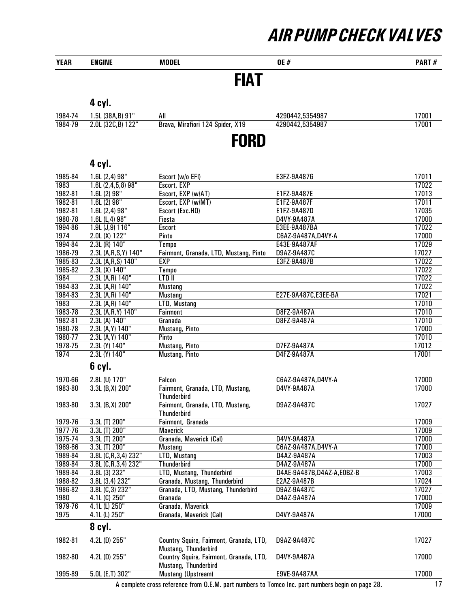| <b>YEAR</b>        | <b>ENGINE</b>                      | <b>MODEL</b>                                                    | <b>OE#</b>                        | PART#          |
|--------------------|------------------------------------|-----------------------------------------------------------------|-----------------------------------|----------------|
|                    |                                    | <b>FIAT</b>                                                     |                                   |                |
|                    | 4 cyl.                             |                                                                 |                                   |                |
| 1984-74            | 1.5L (38A,B) 91"                   | All                                                             | 4290442,5354987                   | 17001          |
| 1984-79            | 2.0L (32C,B) 122"                  | Brava, Mirafiori 124 Spider, X19                                | 4290442,5354987                   | 17001          |
|                    |                                    | <b>FORD</b>                                                     |                                   |                |
|                    | 4 cyl.                             |                                                                 |                                   |                |
| 1985-84            |                                    | Escort (w/o EFI)                                                | E3FZ-9A487G                       | 17011          |
| 1983               | 1.6L (2,4) 98"<br>1.6L(2,4,5,8)98" | Escort, EXP                                                     |                                   | 17022          |
| 1982-81            | 1.6L(2)98"                         | Escort, EXP (w/AT)                                              | E1FZ-9A487E                       | 17013          |
| 1982-81            | 1.6L (2) 98"                       | Escort, EXP (w/MT)                                              | E1FZ-9A487F                       | 17011          |
| 1982-81            | 1.6L(2,4)98"                       | Escort (Exc.HO)                                                 | E1FZ-9A487D                       | 17035          |
| 1980-78            | 1.6L(L,4)98"                       | Fiesta                                                          | D4VY-9A487A                       | 17000          |
| 1994-86            | 1.9L (J, 9) 116"                   | <b>Escort</b>                                                   | E3EE-9A487BA                      | 17022          |
| 1974               | 2.0L (X) 122"                      | Pinto                                                           | C6AZ-9A487A, D4VY-A               | 17000          |
| 1994-84            | 2.3L (R) 140"                      | Tempo                                                           | E43E-9A487AF                      | 17029          |
| 1986-79            | 2.3L (A,R,S,Y) 140"                | Fairmont, Granada, LTD, Mustang, Pinto                          | D9AZ-9A487C                       | 17027          |
| 1985-83            | 2.3L (A,R,S) 140"                  | <b>EXP</b>                                                      | E3FZ-9A487B                       | 17022          |
| 1985-82            | 2.3L (X) 140"                      | <b>Tempo</b>                                                    |                                   | 17022          |
| 1984               | 2.3L (A,R) 140"                    | LTD II                                                          |                                   | 17022          |
| 1984-83            | 2.3L (A,R) 140"                    | <b>Mustang</b>                                                  |                                   | 17022          |
| 1984-83            | 2.3L (A,R) 140"                    | <b>Mustang</b>                                                  | E27E-9A487C, E3EE-BA              | 17021          |
| 1983               | 2.3L (A,R) 140"                    | LTD, Mustang                                                    |                                   | 17010          |
| 1983-78            | 2.3L (A,R,Y) 140"                  | Fairmont                                                        | D8FZ-9A487A                       | 17010          |
| 1982-81            | 2.3L (A) 140"                      | Granada                                                         | D8FZ-9A487A                       | 17010          |
| 1980-78<br>1980-77 | 2.3L (A, Y) 140"                   | <b>Mustang, Pinto</b><br>Pinto                                  |                                   | 17000<br>17010 |
| 1978-75            | 2.3L (A, Y) 140"<br>2.3L (Y) 140"  | <b>Mustang, Pinto</b>                                           | D7FZ-9A487A                       | 17012          |
| 1974               | 2.3L (Y) 140"                      | <b>Mustang, Pinto</b>                                           | D4FZ-9A487A                       | 17001          |
|                    | 6 cyl.                             |                                                                 |                                   |                |
| 1970-66            |                                    |                                                                 |                                   |                |
| 1983-80            | 2.8L (U) 170"<br>3.3L (B, X) 200"  | Falcon<br>Fairmont, Granada, LTD, Mustang,                      | C6AZ-9A487A,D4VY-A<br>D4VY-9A487A | 17000<br>17000 |
|                    |                                    | Thunderbird                                                     |                                   |                |
| 1983-80            | 3.3L (B, X) 200"                   | Fairmont, Granada, LTD, Mustang,<br><b>Thunderbird</b>          | D9AZ-9A487C                       | 17027          |
| 1979-76            | 3.3L (T) 200"                      | Fairmont, Granada                                               |                                   | 17009          |
| 1977-76            | 3.3L (T) 200"                      | <b>Maverick</b>                                                 |                                   | 17009          |
| 1975-74            | 3.3L (T) 200"                      | Granada, Maverick (Cal)                                         | D4VY-9A487A                       | 17000          |
| 1969-66            | 3.3L (T) 200"                      | <b>Mustang</b>                                                  | C6AZ-9A487A, D4VY-A               | 17000          |
| 1989-84            | 3.8L (C,R,3,4) 232"                | LTD, Mustang                                                    | D4AZ-9A487A                       | 17003          |
| 1989-84            | 3.8L (C,R,3,4) 232"                | <b>Thunderbird</b>                                              | D4AZ-9A487A                       | 17000          |
| 1989-84            | 3.8L (3) 232"                      | LTD, Mustang, Thunderbird                                       | D4AE-9A487B, D4AZ-A, E0BZ-B       | 17003          |
| 1988-82            | 3.8L (3,4) 232"                    | Granada, Mustang, Thunderbird                                   | E2AZ-9A487B                       | 17024          |
| 1986-82            | 3.8L (C, 3) 232"                   | Granada, LTD, Mustang, Thunderbird                              | D9AZ-9A487C                       | 17027          |
| 1980               | 4.1L (C) 250"                      | Granada                                                         | D4AZ-9A487A                       | 17000          |
| 1979-76            | 4.1L (L) 250"                      | Granada, Maverick                                               |                                   | 17009          |
| 1975               | 4.1L (L) 250"                      | Granada, Maverick (Cal)                                         | D4VY-9A487A                       | 17000          |
|                    | 8 cyl.                             |                                                                 |                                   |                |
| 1982-81            | 4.2L (D) 255"                      | Country Squire, Fairmont, Granada, LTD,<br>Mustang, Thunderbird | D9AZ-9A487C                       | 17027          |
| 1982-80            | $4.2L$ (D) $255"$                  | Country Squire, Fairmont, Granada, LTD,<br>Mustang, Thunderbird | D4VY-9A487A                       | 17000          |

A complete cross reference from O.E.M. part numbers to Tomco Inc. part numbers begin on page 28. 17 1995-89 5.0L (E,T) 302" Mustang (Upstream) E9VE-9A487AA 17000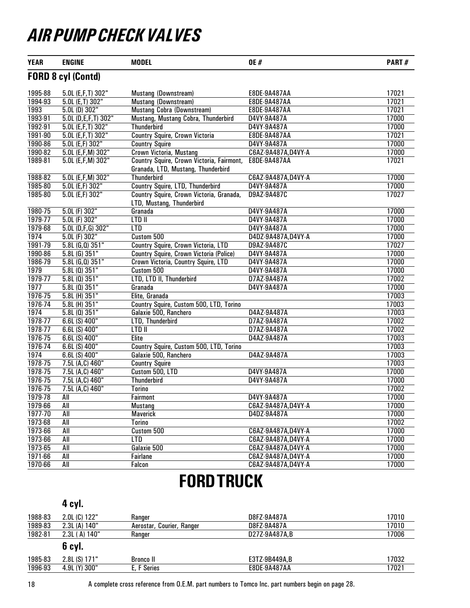| <b>YEAR</b> | <b>ENGINE</b>             | <b>MODEL</b>                                                                    | <b>OE#</b>          | PART# |
|-------------|---------------------------|---------------------------------------------------------------------------------|---------------------|-------|
|             | <b>FORD 8 cyl (Contd)</b> |                                                                                 |                     |       |
| 1995-88     | 5.0L (E,F,T) 302"         | Mustang (Downstream)                                                            | E8DE-9A487AA        | 17021 |
| 1994-93     | $5.0L$ (E,T) $302"$       | <b>Mustang (Downstream)</b>                                                     | E8DE-9A487AA        | 17021 |
| 1993        | $5.0L$ (D) $302"$         | <b>Mustang Cobra (Downstream)</b>                                               | <b>E8DE-9A487AA</b> | 17021 |
| 1993-91     | 5.0L (D,E,F,T) 302"       | Mustang, Mustang Cobra, Thunderbird                                             | D4VY-9A487A         | 17000 |
| 1992-91     | 5.0L (E,F,T) 302"         | <b>Thunderbird</b>                                                              | D4VY-9A487A         | 17000 |
| 1991-90     | 5.0L (E,F,T) 302"         | Country Squire, Crown Victoria                                                  | E8DE-9A487AA        | 17021 |
| 1990-86     | $5.0L$ (E,F) $302"$       | <b>Country Squire</b>                                                           | D4VY-9A487A         | 17000 |
| 1990-82     | 5.0L (E,F,M) 302"         | Crown Victoria, Mustang                                                         | C6AZ-9A487A, D4VY-A | 17000 |
| 1989-81     | 5.0L (E,F,M) 302"         | Country Squire, Crown Victoria, Fairmont,<br>Granada, LTD, Mustang, Thunderbird | <b>E8DE-9A487AA</b> | 17021 |
| 1988-82     | 5.0L (E,F,M) 302"         | <b>Thunderbird</b>                                                              | C6AZ-9A487A, D4VY-A | 17000 |
| 1985-80     | 5.0L (E,F) 302"           | Country Squire, LTD, Thunderbird                                                | D4VY-9A487A         | 17000 |
| 1985-80     | 5.0L (E,F) 302"           | Country Squire, Crown Victoria, Granada,<br>LTD, Mustang, Thunderbird           | D9AZ-9A487C         | 17027 |
| 1980-75     | $5.0L$ (F) $302"$         | Granada                                                                         | D4VY-9A487A         | 17000 |
| 1979-77     | 5.0L (F) 302"             | LTD II                                                                          | D4VY-9A487A         | 17000 |
| 1979-68     | $5.0L$ (D,F,G) 302"       | <b>LTD</b>                                                                      | D4VY-9A487A         | 17000 |
| 1974        | $5.0L$ (F) $302"$         | Custom 500                                                                      | D4DZ-9A487A, D4VY-A | 17000 |
| 1991-79     | $5.8L$ (G,Q) $351"$       | Country Squire, Crown Victoria, LTD                                             | D9AZ-9A487C         | 17027 |
| 1990-86     | $5.8L$ (G) $351"$         | <b>Country Squire, Crown Victoria (Police)</b>                                  | D4VY-9A487A         | 17000 |
| 1986-79     | $5.8L$ (G,Q) $351"$       | Crown Victoria, Country Squire, LTD                                             | D4VY-9A487A         | 17000 |
| 1979        | $5.8L(0)$ 351"            | Custom 500                                                                      | D4VY-9A487A         | 17000 |
| 1979-77     | $5.8L(0)$ 351"            | LTD, LTD II, Thunderbird                                                        | D7AZ-9A487A         | 17002 |
| 1977        | $5.8L(0)$ 351"            | Granada                                                                         | D4VY-9A487A         | 17000 |
| 1976-75     | 5.8L (H) 351"             | Elite, Granada                                                                  |                     | 17003 |
| 1976-74     | 5.8L (H) 351"             | Country Squire, Custom 500, LTD, Torino                                         |                     | 17003 |
| 1974        | $5.8L(0)$ 351"            | Galaxie 500, Ranchero                                                           | D4AZ-9A487A         | 17003 |
| 1978-77     | 6.6L (S) 400"             | LTD, Thunderbird                                                                | D7AZ-9A487A         | 17002 |
| 1978-77     | $6.6L(S)$ 400"            | $LT$ DII                                                                        | D7AZ-9A487A         | 17002 |
| 1976-75     | $6.6L(S)$ 400"            | <b>Elite</b>                                                                    | D4AZ-9A487A         | 17003 |
| 1976-74     | 6.6L (S) 400"             | Country Squire, Custom 500, LTD, Torino                                         |                     | 17003 |
| 1974        | $6.6L(S)$ 400"            | Galaxie 500, Ranchero                                                           | D4AZ-9A487A         | 17003 |
| 1978-75     | 7.5L (A,C) 460"           | <b>Country Squire</b>                                                           |                     | 17003 |
| 1978-75     | 7.5L (A,C) 460"           | Custom 500, LTD                                                                 | D4VY-9A487A         | 17000 |
| 1976-75     | 7.5L (A,C) 460"           | Thunderbird                                                                     | D4VY-9A487A         | 17000 |
| 1976-75     | 7.5L (A,C) 460"           | Torino                                                                          |                     | 17002 |
| 1979-78     | All                       | Fairmont                                                                        | D4VY-9A487A         | 17000 |
| 1979-66     | All                       | <b>Mustang</b>                                                                  | C6AZ-9A487A,D4VY-A  | 17000 |
| 1977-70     | All                       | <b>Maverick</b>                                                                 | D4DZ-9A487A         | 17000 |
| 1973-68     | All                       | Torino                                                                          |                     | 17002 |
| 1973-66     | $\overline{All}$          | Custom 500                                                                      | C6AZ-9A487A,D4VY-A  | 17000 |
| 1973-66     | All                       | <b>LTD</b>                                                                      | C6AZ-9A487A, D4VY-A | 17000 |
| 1973-65     | All                       | Galaxie 500                                                                     | C6AZ-9A487A,D4VY-A  | 17000 |
| 1971-66     | All                       | Fairlane                                                                        | C6AZ-9A487A, D4VY-A | 17000 |
| 1970-66     | All                       | Falcon                                                                          | C6AZ-9A487A, D4VY-A | 17000 |

### FORD TRUCK

|         | 4 cyl.         |                           |               |       |
|---------|----------------|---------------------------|---------------|-------|
| 1988-83 | $2.0L(G)$ 122" | Ranger                    | D8FZ-9A487A   | 17010 |
| 1989-83 | 2.3L(A) 140"   | Aerostar, Courier, Ranger | D8FZ-9A487A   | 17010 |
| 1982-81 | 2.3L (A) 140"  | Ranger                    | D27Z-9A487A,B | 17006 |
|         | 6 cyl.         |                           |               |       |
| 1985-83 | $2.8L(S)$ 171" | <b>Bronco</b> II          | E3TZ-9B449A,B | 17032 |
| 1996-93 | 4.9L (Y) 300"  | E, F Series               | E8DE-9A487AA  | 17021 |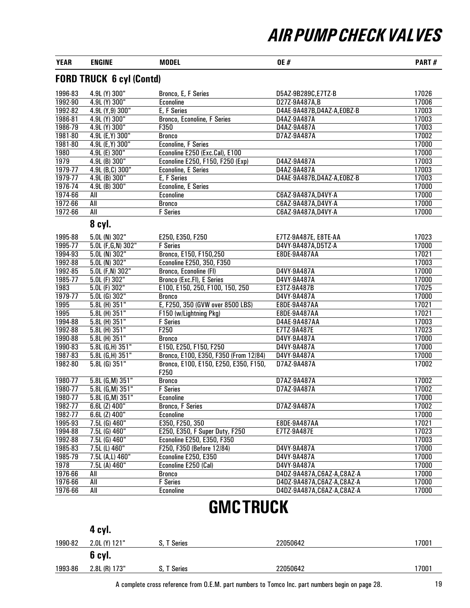| <b>YEAR</b> | <b>ENGINE</b>                   | <b>MODEL</b>                                  | <b>OE#</b>                  | PART# |
|-------------|---------------------------------|-----------------------------------------------|-----------------------------|-------|
|             | <b>FORD TRUCK 6 cyl (Contd)</b> |                                               |                             |       |
| 1996-83     | 4.9L (Y) 300"                   | Bronco, E, F Series                           | D5AZ-9B289C,E7TZ-B          | 17026 |
| 1992-90     | 4.9L (Y) 300"                   | <b>Econoline</b>                              | D27Z-9A487A,B               | 17006 |
| 1992-82     | 4.9L (Y,9) 300"                 | E, F Series                                   | D4AE-9A487B, D4AZ-A, E0BZ-B | 17003 |
| 1986-81     | 4.9L (Y) 300"                   | Bronco, Econoline, F Series                   | D4AZ-9A487A                 | 17003 |
| 1986-79     | 4.9L (Y) 300"                   | F350                                          | D4AZ-9A487A                 | 17003 |
| 1981-80     | 4.9L (E, Y) 300"                | <b>Bronco</b>                                 | D7AZ-9A487A                 | 17002 |
| 1981-80     | 4.9L (E, Y) 300"                | <b>Econoline, F Series</b>                    |                             | 17000 |
| 1980        | 4.9L (E) 300"                   | Econoline E250 (Exc.Cal), E100                |                             | 17000 |
| 1979        | 4.9L (B) 300"                   | Econoline E250, F150, F250 (Exp)              | D4AZ-9A487A                 | 17003 |
| 1979-77     | 4.9L (B,C) 300"                 | <b>Econoline, E Series</b>                    | D4AZ-9A487A                 | 17003 |
| 1979-77     | 4.9L (B) 300"                   | E, F Series                                   | D4AE-9A487B, D4AZ-A, E0BZ-B | 17003 |
| 1976-74     | 4.9L (B) 300"                   | <b>Econoline, E Series</b>                    |                             | 17000 |
| 1974-66     | All                             | <b>Econoline</b>                              | C6AZ-9A487A, D4VY-A         | 17000 |
| 1972-66     | All                             | <b>Bronco</b>                                 | C6AZ-9A487A,D4VY-A          | 17000 |
| 1972-66     | All                             | <b>F</b> Series                               | C6AZ-9A487A, D4VY-A         | 17000 |
|             | 8 cyl.                          |                                               |                             |       |
| 1995-88     | $5.0L$ (N) 302"                 | E250, E350, F250                              | E7TZ-9A487E, E8TE-AA        | 17023 |
| 1995-77     | 5.0L (F,G,N) 302"               | <b>F</b> Series                               | D4VY-9A487A, D5TZ-A         | 17000 |
| 1994-93     | 5.0L (N) 302"                   | Bronco, E150, F150,250                        | E8DE-9A487AA                | 17021 |
| 1992-88     | $5.0L$ (N) $302"$               | <b>Econoline E250, 350, F350</b>              |                             | 17003 |
| 1992-85     | $5.0L$ (F,N) $302"$             | Bronco, Econoline (FI)                        | D4VY-9A487A                 | 17000 |
| 1985-77     | $5.0L$ (F) $302"$               | Bronco (Exc.FI), E Series                     | D4VY-9A487A                 | 17000 |
| 1983        | 5.0L (F) 302"                   | E100, E150, 250, F100, 150, 250               | E3TZ-9A487B                 | 17025 |
| 1979-77     | 5.0L (G) 302"                   | <b>Bronco</b>                                 | D4VY-9A487A                 | 17000 |
| 1995        | $5.8L$ (H) $351"$               | E, F250, 350 (GVW over 8500 LBS)              | E8DE-9A487AA                | 17021 |
| 1995        | 5.8L (H) 351"                   | F150 (w/Lightning Pkg)                        | E8DE-9A487AA                | 17021 |
| 1994-88     | 5.8L (H) 351"                   | <b>F</b> Series                               | D4AE-9A487AA                | 17003 |
| 1992-88     | 5.8L (H) 351"                   | F250                                          | E7TZ-9A487E                 | 17023 |
| 1990-88     | 5.8L (H) 351"                   | <b>Bronco</b>                                 | D4VY-9A487A                 | 17000 |
| 1990-83     | 5.8L (G,H) 351"                 | E150, E250, F150, F250                        | D4VY-9A487A                 | 17000 |
| 1987-83     | 5.8L (G,H) 351"                 | Bronco, E100, E350, F350 (From 12/84)         | D4VY-9A487A                 | 17000 |
| 1982-80     | $5.8L$ (G) $351"$               | Bronco, E100, E150, E250, E350, F150,<br>F250 | D7AZ-9A487A                 | 17002 |
| 1980-77     | 5.8L (G,M) 351"                 | <b>Bronco</b>                                 | D7AZ-9A487A                 | 17002 |
| 1980-77     | 5.8L (G, M) 351"                | <b>F</b> Series                               | D7AZ-9A487A                 | 17002 |
| 1980-77     | 5.8L (G,M) 351"                 | Econoline                                     |                             | 17000 |
| 1982-77     | $6.6L$ (Z) $400"$               | Bronco, F Series                              | D7AZ-9A487A                 | 17002 |
| 1982-77     | 6.6L (Z) 400"                   | <b>Econoline</b>                              |                             | 17000 |
| 1995-93     | $7.5L$ (G) $460"$               | E350, F250, 350                               | E8DE-9A487AA                | 17021 |
| 1994-88     | $7.5L$ (G) $460"$               | E250, E350, F Super Duty, F250                | E7TZ-9A487E                 | 17023 |
| 1992-88     | $7.5L$ (G) $460"$               | Econoline E250, E350, F350                    |                             | 17003 |
| 1985-83     | 7.5L (L) 460"                   | F250, F350 (Before 12/84)                     | D4VY-9A487A                 | 17000 |
| 1985-79     | 7.5L (A,L) 460"                 | Econoline E250, E350                          | D4VY-9A487A                 | 17000 |
| 1978        | 7.5L (A) 460"                   | Econoline E250 (Cal)                          | D4VY-9A487A                 | 17000 |
| 1976-66     | All                             | <b>Bronco</b>                                 | D4DZ-9A487A,C6AZ-A,C8AZ-A   | 17000 |
| 1976-66     | $\overline{All}$                | <b>F</b> Series                               | D4DZ-9A487A,C6AZ-A,C8AZ-A   | 17000 |
| 1976-66     | All                             | <b>Econoline</b>                              | D4DZ-9A487A,C6AZ-A,C8AZ-A   | 17000 |
|             |                                 | -------                                       |                             |       |

### GMC TRUCK

|         | 4 cyl.        |             |          |       |
|---------|---------------|-------------|----------|-------|
| 1990-82 | 2.0L (Y) 121" | S. T Series | 22050642 | 17001 |
|         | 6 cyl.        |             |          |       |
| 1993-86 | 2.8L (R) 173" | S, T Series | 22050642 | 17001 |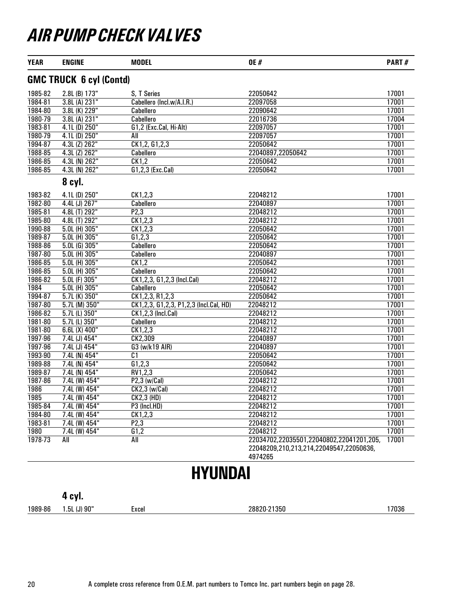| <b>YEAR</b> | <b>ENGINE</b>                  | <b>MODEL</b>                           | <b>OE#</b>                                                                                     | PART# |
|-------------|--------------------------------|----------------------------------------|------------------------------------------------------------------------------------------------|-------|
|             | <b>GMC TRUCK 6 cyl (Contd)</b> |                                        |                                                                                                |       |
| 1985-82     | 2.8L (B) 173"                  | S, T Series                            | 22050642                                                                                       | 17001 |
| 1984-81     | 3.8L (A) 231"                  | Cabellero (Incl.w/A.I.R.)              | 22097058                                                                                       | 17001 |
| 1984-80     | 3.8L (K) 229"                  | Cabellero                              | 22090642                                                                                       | 17001 |
| 1980-79     | 3.8L (A) 231"                  | Cabellero                              | 22016736                                                                                       | 17004 |
| 1983-81     | 4.1L (D) 250"                  | G1,2 (Exc.Cal, Hi-Alt)                 | 22097057                                                                                       | 17001 |
| 1980-79     | 4.1L (D) 250"                  | All                                    | 22097057                                                                                       | 17001 |
| 1994-87     | 4.3L (Z) 262"                  | CK1, 2, G1, 2, 3                       | 22050642                                                                                       | 17001 |
| 1988-85     | 4.3L (Z) 262"                  | Cabellero                              | 22040897,22050642                                                                              | 17001 |
| 1986-85     | 4.3L (N) 262"                  | CK1,2                                  | 22050642                                                                                       | 17001 |
| 1986-85     | 4.3L (N) 262"                  | G1,2,3 (Exc.Cal)                       | 22050642                                                                                       | 17001 |
|             | 8 cyl.                         |                                        |                                                                                                |       |
| 1983-82     | 4.1L (D) 250"                  | CK1,2,3                                | 22048212                                                                                       | 17001 |
| 1982-80     | 4.4L (J) 267"                  | Cabellero                              | 22040897                                                                                       | 17001 |
| 1985-81     | 4.8L (T) 292"                  | P2,3                                   | 22048212                                                                                       | 17001 |
| 1985-80     | 4.8L (T) 292"                  | CK1,2,3                                | 22048212                                                                                       | 17001 |
| 1990-88     | 5.0L (H) 305"                  | CK1,2,3                                | 22050642                                                                                       | 17001 |
| 1989-87     | 5.0L (H) 305"                  | G1, 2, 3                               | 22050642                                                                                       | 17001 |
| 1988-86     | $5.0L$ (G) $305"$              | Cabellero                              | 22050642                                                                                       | 17001 |
| 1987-80     | 5.0L (H) 305"                  | Cabellero                              | 22040897                                                                                       | 17001 |
| 1986-85     | $5.0L$ (H) $305"$              | CK1,2                                  | 22050642                                                                                       | 17001 |
| 1986-85     | 5.0L (H) 305"                  | Cabellero                              | 22050642                                                                                       | 17001 |
| 1986-82     | 5.0L (F) 305"                  | CK1,2,3, G1,2,3 (Incl.Cal)             | 22048212                                                                                       | 17001 |
| 1984        | 5.0L (H) 305"                  | <b>Cabellero</b>                       | 22050642                                                                                       | 17001 |
| 1994-87     | 5.7L (K) 350"                  | CK1, 2, 3, R1, 2, 3                    | 22050642                                                                                       | 17001 |
| 1987-80     | 5.7L (M) 350"                  | CK1,2,3, G1,2,3, P1,2,3 (Incl.Cal, HD) | 22048212                                                                                       | 17001 |
| 1986-82     | 5.7L (L) 350"                  | CK1,2,3 (Incl.Cal)                     | 22048212                                                                                       | 17001 |
| 1981-80     | 5.7L (L) 350"                  | Cabellero                              | 22048212                                                                                       | 17001 |
| 1981-80     | $6.6L(X)$ 400"                 | CK1,2,3                                | 22048212                                                                                       | 17001 |
| 1997-96     | 7.4L (J) 454"                  | CK2,309                                | 22040897                                                                                       | 17001 |
| 1997-96     | 7.4L (J) 454"                  | G3 (w/k19 AIR)                         | 22040897                                                                                       | 17001 |
| 1993-90     | 7.4L (N) 454"                  | $\overline{c}$ 1                       | 22050642                                                                                       | 17001 |
| 1989-88     | 7.4L (N) 454"                  | G1,2,3                                 | 22050642                                                                                       | 17001 |
| 1989-87     | 7.4L (N) 454"                  | RV1,2,3                                | 22050642                                                                                       | 17001 |
| 1987-86     | 7.4L (W) 454"                  | $P2,3$ (w/Cal)                         | 22048212                                                                                       | 17001 |
| 1986        | 7.4L (W) 454"                  | CK2,3 (w/Cal)                          | 22048212                                                                                       | 17001 |
| 1985        | 7.4L (W) 454"                  | <b>CK2,3 (HD)</b>                      | 22048212                                                                                       | 17001 |
| 1985-84     | 7.4L (W) 454"                  | P3 (Incl.HD)                           | 22048212                                                                                       | 17001 |
| 1984-80     | $7.4L$ (W) 454"                | CK1,2,3                                | 22048212                                                                                       | 17001 |
| 1983-81     | 7.4L (W) 454"                  | P2,3                                   | 22048212                                                                                       | 17001 |
| <b>1980</b> | 7.4L (W) 454"                  | G1,2                                   | 22048212                                                                                       | 17001 |
| 1978-73     | All                            | All                                    | 22034702,22035501,22040802,22041201,205,<br>22048209,210,213,214,22049547,22050636,<br>4974265 | 17001 |

# HYUNDAI

4 cyl.

1989-86 1.5L (J) 90" Excel 28820-21350 20020-21350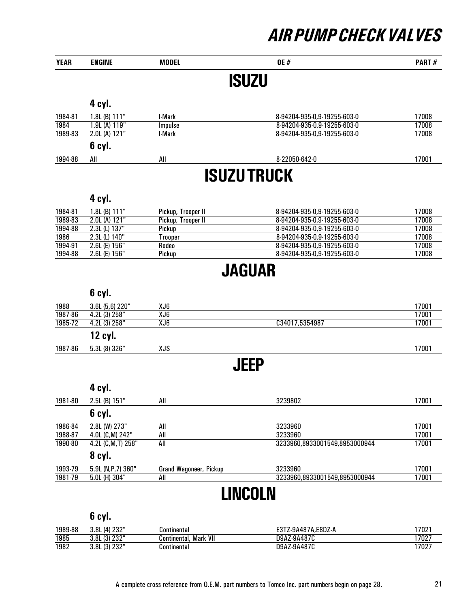| <b>YEAR</b> | <b>ENGINE</b>     | <b>MODEL</b> | <b>OE#</b>                  | <b>PART#</b> |
|-------------|-------------------|--------------|-----------------------------|--------------|
|             |                   |              | <b>ISUZU</b>                |              |
|             | 4 cyl.            |              |                             |              |
| 1984-81     | $1.8L$ (B) $111"$ | I-Mark       | 8-94204-935-0,9-19255-603-0 | 17008        |
| 1984        | 1.9L(A) 119"      | Impulse      | 8-94204-935-0,9-19255-603-0 | 17008        |
| 1989-83     | 2.0L(A) 121"      | I-Mark       | 8-94204-935-0,9-19255-603-0 | 17008        |
|             | 6 cyl.            |              |                             |              |
| 1994-88     | All               | All          | 8-22050-642-0               | 17001        |
|             |                   |              | <b>ISUZU TRUCK</b>          |              |

#### 4 cyl.

| 1984-81 | 1.8L (B) $111"$ | Pickup, Trooper II | 8-94204-935-0.9-19255-603-0 | 17008 |
|---------|-----------------|--------------------|-----------------------------|-------|
| 1989-83 | 2.0L(A) 121"    | Pickup, Trooper II | 8-94204-935-0.9-19255-603-0 | 17008 |
| 1994-88 | 2.3L (L) 137"   | Pickup             | 8-94204-935-0.9-19255-603-0 | 17008 |
| 1986    | 2.3L (L) 140"   | rooper             | 8-94204-935-0,9-19255-603-0 | 17008 |
| 1994-91 | 2.6L (E) 156"   | Rodeo              | 8-94204-935-0.9-19255-603-0 | 17008 |
| 1994-88 | 2.6L (E) 156"   | Pickup             | 8-94204-935-0,9-19255-603-0 | 17008 |

### JAGUAR

#### 6 cyl. 1988 3.6L (5,6) 220" XJ6 17001 1987-86 4.2L (3) 258" XJ6 17001 C34017,5354987 12 cyl. 1987-86 5.3L (8) 326" XJS 17001

### **JEEP**

#### 4 cyl.

| 1981-80 | $2.5L$ (B) $151"$   | All                    | 3239802                       | 17001 |
|---------|---------------------|------------------------|-------------------------------|-------|
|         | 6 cyl.              |                        |                               |       |
| 1986-84 | 2.8L (W) 273"       | All                    | 3233960                       | 17001 |
| 1988-87 | 4.0L (C,M) 242"     | All                    | 3233960                       | 17001 |
| 1990-80 | 4.2L (C,M,T) 258"   | All                    | 3233960,8933001549,8953000944 | 17001 |
|         | 8 cyl.              |                        |                               |       |
| 1993-79 | $5.9L$ (N,P,7) 360" | Grand Wagoneer, Pickup | 3233960                       | 17001 |
| 1981-79 | $5.0L$ (H) 304"     | All                    | 3233960,8933001549,8953000944 | 17001 |

### LINCOLN

| 1989-88 | . (4) 232"<br>3.8L | Continental                | E3TZ-9A487A.E8DZ-A | 702  |
|---------|--------------------|----------------------------|--------------------|------|
| 1985    | (3) 232"<br>3.8L   | Mark VII<br>Continental, ' | D9AZ-9A487C        | 7027 |
| 1982    | (3) 232"<br>3.8L   | ontinentalد                | D9AZ-9A487C        | 1702 |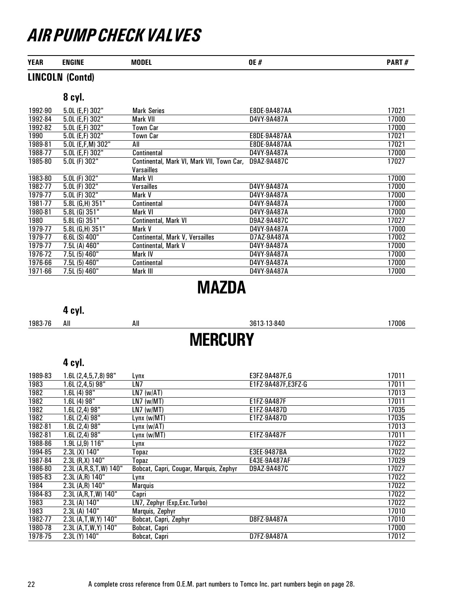| <b>YEAR</b> | <b>ENGINE</b> | MNNFI<br>-- | OE,<br><br> | <b>DART</b><br>., |
|-------------|---------------|-------------|-------------|-------------------|
|             |               |             |             |                   |

### LINCOLN (Contd)

### 8 cyl.

| 1992-90 | 5.0L (E,F) 302"       | <b>Mark Series</b>                        | E8DE-9A487AA | 17021 |
|---------|-----------------------|-------------------------------------------|--------------|-------|
| 1992-84 | 5.0L (E,F) 302"       | Mark VII                                  | D4VY-9A487A  | 17000 |
| 1992-82 | 5.0L (E,F) 302"       | Town Car                                  |              | 17000 |
| 1990    | $5.0L$ (E,F) $302"$   | Town Car                                  | E8DE-9A487AA | 17021 |
| 1989-81 | $5.0L$ (E,F,M) $302"$ | All                                       | E8DE-9A487AA | 17021 |
| 1988-77 | 5.0L (E,F) 302"       | Continental                               | D4VY-9A487A  | 17000 |
| 1985-80 | $5.0L$ (F) $302"$     | Continental, Mark VI, Mark VII, Town Car, | D9AZ-9A487C  | 17027 |
|         |                       | Varsailles                                |              |       |
| 1983-80 | 5.0L (F) 302"         | Mark VI                                   |              | 17000 |
| 1982-77 | 5.0L (F) 302"         | <b>Versailles</b>                         | D4VY-9A487A  | 17000 |
| 1979-77 | 5.0L (F) 302"         | Mark V                                    | D4VY-9A487A  | 17000 |
| 1981-77 | 5.8L (G,H) 351"       | Continental                               | D4VY-9A487A  | 17000 |
| 1980-81 | $5.8L$ (G) $351"$     | Mark VI                                   | D4VY-9A487A  | 17000 |
| 1980    | 5.8L (G) 351"         | Continental, Mark VI                      | D9AZ-9A487C  | 17027 |
| 1979-77 | 5.8L (G,H) 351"       | Mark V                                    | D4VY-9A487A  | 17000 |
| 1979-77 | $6.6L(S)$ 400"        | Continental, Mark V, Versailles           | D7AZ-9A487A  | 17002 |
| 1979-77 | 7.5L (A) 460"         | Continental, Mark V                       | D4VY-9A487A  | 17000 |
| 1976-72 | 7.5L (5) 460"         | Mark IV                                   | D4VY-9A487A  | 17000 |
| 1976-66 | 7.5L (5) 460"         | Continental                               | D4VY-9A487A  | 17000 |
| 1971-66 | 7.5L (5) 460"         | Mark III                                  | D4VY-9A487A  | 17000 |

### MAZDA

### 4 cyl.

| 1983-76 | All | All | 3613-13-840    | 7006 |
|---------|-----|-----|----------------|------|
|         |     |     | <b>MERCURY</b> |      |

| 1989-83 | 1.6L (2,4,5,7,8) 98"      | Lynx                                   | E3FZ-9A487F,G      | 17011 |
|---------|---------------------------|----------------------------------------|--------------------|-------|
| 1983    | 1.6L (2,4,5) 98"          | LN7                                    | E1FZ-9A487F.E3FZ-G | 17011 |
| 1982    | 1.6L (4) 98"              | $\overline{LN7}$ (w/AT)                |                    | 17013 |
| 1982    | 1.6L (4) 98"              | $LN7$ (w/MT)                           | E1FZ-9A487F        | 17011 |
| 1982    | 1.6L (2,4) 98"            | $LN7$ (w/MT)                           | E1FZ-9A487D        | 17035 |
| 1982    | 1.6L (2,4) 98"            | Lynx (w/MT)                            | E1FZ-9A487D        | 17035 |
| 1982-81 | 1.6L (2,4) 98"            | Lynx (w/AT)                            |                    | 17013 |
| 1982-81 | 1.6L (2,4) 98"            | Lynx (w/MT)                            | E1FZ-9A487F        | 17011 |
| 1988-86 | 1.9L (J,9) 116"           | Lynx                                   |                    | 17022 |
| 1994-85 | 2.3L (X) 140"             | Topaz                                  | E3EE-9487BA        | 17022 |
| 1987-84 | 2.3L (R, X) 140"          | Topaz                                  | E43E-9A487AF       | 17029 |
| 1986-80 | 2.3L (A, R, S, T, W) 140" | Bobcat, Capri, Cougar, Marquis, Zephyr | D9AZ-9A487C        | 17027 |
| 1985-83 | 2.3L (A,R) 140"           | Lynx                                   |                    | 17022 |
| 1984    | 2.3L (A,R) 140"           | <b>Marquis</b>                         |                    | 17022 |
| 1984-83 | 2.3L (A,R,T,W) 140"       | Capri                                  |                    | 17022 |
| 1983    | 2.3L (A) 140"             | LN7, Zephyr (Exp, Exc. Turbo)          |                    | 17022 |
| 1983    | 2.3L (A) 140"             | Marquis, Zephyr                        |                    | 17010 |
| 1982-77 | 2.3L (A,T,W,Y) 140"       | Bobcat, Capri, Zephyr                  | D8FZ-9A487A        | 17010 |
| 1980-78 | 2.3L (A,T,W,Y) 140"       | Bobcat, Capri                          |                    | 17000 |
| 1978-75 | 2.3L (Y) 140"             | Bobcat, Capri                          | D7FZ-9A487A        | 17012 |
|         |                           |                                        |                    |       |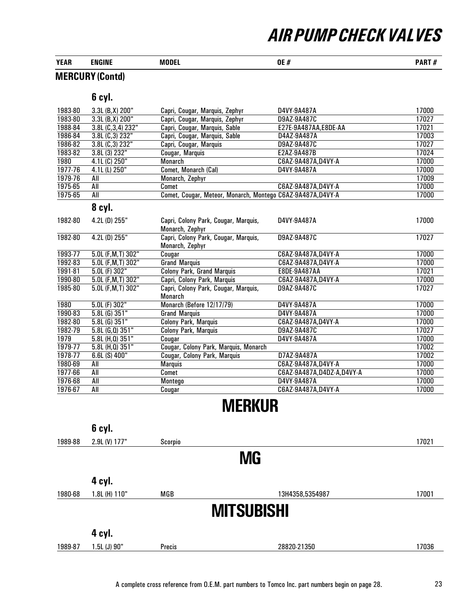| <b>YEAR</b> | <b>ENGINE</b> | <b>MODE</b> | OE.<br>$^{\prime\prime}$<br>v<br>$\boldsymbol{H}$ | <b>PART</b><br><br>.<br>" |
|-------------|---------------|-------------|---------------------------------------------------|---------------------------|
|             |               |             |                                                   |                           |

### MERCURY (Contd)

#### 6 cyl.

| 1983-80 | 3.3L (B, X) 200"    | Capri, Cougar, Marquis, Zephyr                             | D4VY-9A487A                 | 17000 |
|---------|---------------------|------------------------------------------------------------|-----------------------------|-------|
| 1983-80 | 3.3L (B, X) 200"    | Capri, Cougar, Marquis, Zephyr                             | D9AZ-9A487C                 | 17027 |
| 1988-84 | 3.8L (C, 3, 4) 232" | Capri, Cougar, Marquis, Sable                              | E27E-9A487AA,E8DE-AA        | 17021 |
| 1986-84 | 3.8L (C, 3) 232"    | Capri, Cougar, Marquis, Sable                              | D4AZ-9A487A                 | 17003 |
| 1986-82 | 3.8L (C,3) 232"     | Capri, Cougar, Marquis                                     | D9AZ-9A487C                 | 17027 |
| 1983-82 | 3.8L (3) 232"       | Cougar, Marquis                                            | E2AZ-9A487B                 | 17024 |
| 1980    | $4.1L(G)$ 250"      | <b>Monarch</b>                                             | C6AZ-9A487A, D4VY-A         | 17000 |
| 1977-76 | 4.1L (L) 250"       | Comet, Monarch (Cal)                                       | D4VY-9A487A                 | 17000 |
| 1979-76 | All                 | Monarch, Zephyr                                            |                             | 17009 |
| 1975-65 | All                 | Comet                                                      | C6AZ-9A487A, D4VY-A         | 17000 |
| 1975-65 | All                 | Comet, Cougar, Meteor, Monarch, Montego C6AZ-9A487A,D4VY-A |                             | 17000 |
|         | 8 cyl.              |                                                            |                             |       |
| 1982-80 | 4.2L (D) 255"       | Capri, Colony Park, Cougar, Marquis,<br>Monarch, Zephyr    | D4VY-9A487A                 | 17000 |
| 1982-80 | 4.2L (D) 255"       | Capri, Colony Park, Cougar, Marquis,<br>Monarch, Zephyr    | D9AZ-9A487C                 | 17027 |
| 1993-77 | 5.0L (F, M, T) 302" | Cougar                                                     | C6AZ-9A487A, D4VY-A         | 17000 |
| 1992-83 | 5.0L (F, M, T) 302" | <b>Grand Marquis</b>                                       | C6AZ-9A487A, D4VY-A         | 17000 |
| 1991-81 | $5.0L$ (F) $302"$   | <b>Colony Park, Grand Marquis</b>                          | E8DE-9A487AA                | 17021 |
| 1990-80 | 5.0L (F, M, T) 302" | Capri, Colony Park, Marquis                                | C6AZ-9A487A, D4VY-A         | 17000 |
| 1985-80 | 5.0L (F, M, T) 302" | Capri, Colony Park, Cougar, Marquis,<br><b>Monarch</b>     | D9AZ-9A487C                 | 17027 |
| 1980    | $5.0L$ (F) $302"$   | Monarch (Before 12/17/79)                                  | D4VY-9A487A                 | 17000 |
| 1990-83 | $5.8L$ (G) $351"$   | <b>Grand Marquis</b>                                       | D4VY-9A487A                 | 17000 |
| 1982-80 | $5.8L$ (G) $351"$   | Colony Park, Marquis                                       | C6AZ-9A487A,D4VY-A          | 17000 |
| 1982-79 | $5.8L$ (G,Q) $351"$ | <b>Colony Park, Marquis</b>                                | D9AZ-9A487C                 | 17027 |
| 1979    | 5.8L (H, 0) 351"    | Cougar                                                     | D4VY-9A487A                 | 17000 |
| 1979-77 | $5.8L$ (H,Q) $351"$ | Cougar, Colony Park, Marquis, Monarch                      |                             | 17002 |
| 1978-77 | 6.6L (S) 400"       | Cougar, Colony Park, Marquis                               | D7AZ-9A487A                 | 17002 |
| 1980-69 | All                 | <b>Marquis</b>                                             | C6AZ-9A487A, D4VY-A         | 17000 |
| 1977-66 | All                 | Comet                                                      | C6AZ-9A487A, D4DZ-A, D4VY-A | 17000 |
| 1976-68 | All                 | Montego                                                    | D4VY-9A487A                 | 17000 |
| 1976-67 | All                 | Cougar                                                     | C6AZ-9A487A, D4VY-A         | 17000 |

### **MERKUR**

|         | 6 cyl.        |         |                   |       |
|---------|---------------|---------|-------------------|-------|
| 1989-88 | 2.9L (V) 177" | Scorpio |                   | 17021 |
|         |               |         | <b>MG</b>         |       |
|         | 4 cyl.        |         |                   |       |
| 1980-68 | 1.8L (H) 110" | MGB     | 13H4358,5354987   | 17001 |
|         |               |         | <b>MITSUBISHI</b> |       |
|         | 4 cyl.        |         |                   |       |
| 1989-87 | 1.5L (J) 90"  | Precis  | 28820-21350       | 17036 |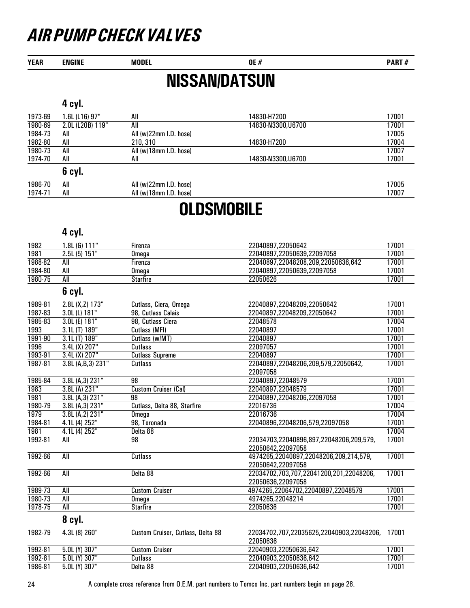YEAR ENGINE MODEL DE # 9 DE # PART # PART # PART # PART # PART # PART # PART # PART # PART # PART # PART # PART # PART # PART # PART # PART # PART # PART # PART # PART # PART # PART # PART # PART # PART # PART # PART # PAR

### NISSAN/DATSUN

#### 4 cyl.

| 1973-69      | 1.6L (L16) 97"   | All                    | 14830-H7200       | 17001 |
|--------------|------------------|------------------------|-------------------|-------|
| 1980-69      | 2.0L (L20B) 119" | All                    | 14830-N3300.U6700 | 17001 |
| 1984-73      | All              | All (w/22mm I.D. hose) |                   | 17005 |
| 1982-80      | All              | 210, 310               | 14830-H7200       | 17004 |
| 1980-73      | All              | All (w/18mm I.D. hose) |                   | 17007 |
| 1974-70      | All              | All                    | 14830-N3300.U6700 | 17001 |
|              | 6 cyl.           |                        |                   |       |
| 1986-70<br>. | All              | All (w/22mm I.D. hose) |                   | 17005 |

### 1974-71 All All (w/18mm I.D. hose) 17007

### **OLDSMOBILE**

#### 4 cyl.

| 1982    | 1.8L (G) 111"     | Firenza                           | 22040897,22050642                                            | 17001 |
|---------|-------------------|-----------------------------------|--------------------------------------------------------------|-------|
| 1981    | 2.5L(5) 151"      | Omega                             | 22040897,22050639,22097058                                   | 17001 |
| 1988-82 | All               | Firenza                           | 22040897,22048208,209,22050636,642                           | 17001 |
| 1984-80 | $\overline{All}$  | Omega                             | 22040897,22050639,22097058                                   | 17001 |
| 1980-75 | $\overline{All}$  | <b>Starfire</b>                   | 22050626                                                     | 17001 |
|         | 6 cyl.            |                                   |                                                              |       |
| 1989-81 | 2.8L (X,Z) 173"   | Cutlass, Ciera, Omega             | 22040897,22048209,22050642                                   | 17001 |
| 1987-83 | 3.0L (L) 181"     | 98, Cutlass Calais                | 22040897,22048209,22050642                                   | 17001 |
| 1985-83 | 3.0L (E) 181"     | 98, Cutlass Ciera                 | 22048578                                                     | 17004 |
| 1993    | 3.1L (T) 189"     | Cutlass (MFI)                     | 22040897                                                     | 17001 |
| 1991-90 | 3.1L (T) 189"     | Cutlass (w/MT)                    | 22040897                                                     | 17001 |
| 1996    | 3.4L(X) 207"      | Cutlass                           | 22097057                                                     | 17001 |
| 1993-91 | 3.4L(X) 207"      | <b>Cutlass Supreme</b>            | 22040897                                                     | 17001 |
| 1987-81 | 3.8L (A,B,3) 231" | <b>Cutlass</b>                    | 22040897,22048206,209,579,22050642,                          | 17001 |
|         |                   |                                   | 22097058                                                     |       |
| 1985-84 | 3.8L (A, 3) 231"  | 98                                | 22040897,22048579                                            | 17001 |
| 1983    | 3.8L (A) 231"     | <b>Custom Cruiser (Cal)</b>       | 22040897,22048579                                            | 17001 |
| 1981    | 3.8L (A, 3) 231"  | $\overline{98}$                   | 22040897,22048206,22097058                                   | 17001 |
| 1980-79 | 3.8L (A, 3) 231"  | Cutlass, Delta 88, Starfire       | 22016736                                                     | 17004 |
| 1979    | 3.8L (A,2) 231"   | <b>Omega</b>                      | 22016736                                                     | 17004 |
| 1984-81 | 4.1L (4) 252"     | 98, Toronado                      | 22040896,22048206,579,22097058                               | 17001 |
| 1981    | 4.1L (4) 252"     | Delta 88                          |                                                              | 17004 |
| 1992-81 | All               | 98                                | 22034703,22040896,897,22048206,209,579,<br>22050642,22097058 | 17001 |
| 1992-66 | All               | <b>Cutlass</b>                    | 4974265,22040897,22048206,209,214,579,                       | 17001 |
|         |                   |                                   | 22050642,22097058                                            |       |
| 1992-66 | All               | Delta 88                          | 22034702,703,707,22041200,201,22048206,                      | 17001 |
|         |                   |                                   | 22050636,22097058                                            |       |
| 1989-73 | All               | <b>Custom Cruiser</b>             | 4974265,22064702,22040897,22048579                           | 17001 |
| 1980-73 | All               | Omega                             | 4974265,22048214                                             | 17001 |
| 1978-75 | All               | <b>Starfire</b>                   | 22050636                                                     | 17001 |
|         | 8 cyl.            |                                   |                                                              |       |
| 1982-79 | 4.3L (8) 260"     | Custom Cruiser, Cutlass, Delta 88 | 22034702,707,22035625,22040903,22048206,<br>22050636         | 17001 |
| 1992-81 | $5.0L$ (Y) 307"   | <b>Custom Cruiser</b>             | 22040903,22050636,642                                        | 17001 |
| 1992-81 | 5.0L (Y) 307"     | Cutlass                           | 22040903,22050636,642                                        | 17001 |
| 1986-81 | 5.0L (Y) 307"     | Delta 88                          | 22040903,22050636,642                                        | 17001 |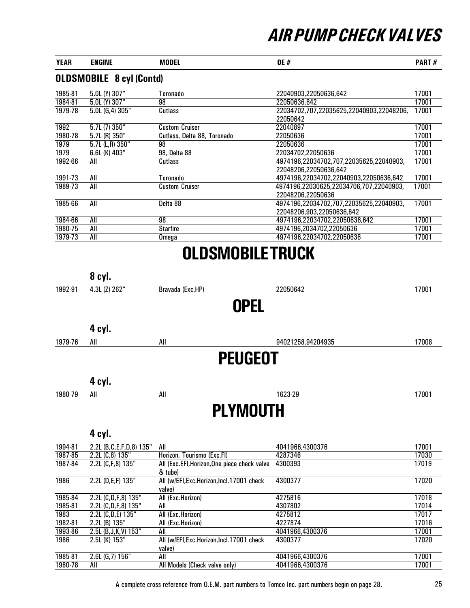| <b>YEAR</b> | <b>ENGINE</b>                   | <b>MODEL</b>                | <b>OE#</b>                                                           | <b>PART#</b> |
|-------------|---------------------------------|-----------------------------|----------------------------------------------------------------------|--------------|
|             | <b>OLDSMOBILE 8 cyl (Contd)</b> |                             |                                                                      |              |
| 1985-81     | 5.0L (Y) 307"                   | Toronado                    | 22040903,22050636,642                                                | 17001        |
| 1984-81     | $\overline{5.0}$ L (Y) 307"     | 98                          | 22050636,642                                                         | 17001        |
| 1979-78     | 5.0L (G,4) 305"                 | Cutlass                     | 22034702,707,22035625,22040903,22048206,<br>22050642                 | 17001        |
| 1992        | 5.7L (7) 350"                   | <b>Custom Cruiser</b>       | 22040897                                                             | 17001        |
| 1980-78     | $5.7L(R)$ 350"                  | Cutlass, Delta 88, Toronado | 22050636                                                             | 17001        |
| 1979        | $5.7L$ (L,R) $350"$             | 98                          | 22050636                                                             | 17001        |
| 1979        | 6.6L (K) 403"                   | 98, Delta 88                | 22034702.22050636                                                    | 17001        |
| 1992-66     | All                             | Cutlass                     | 4974196,22034702,707,22035625,22040903,<br>22048206,22050636,642     | 17001        |
| 1991-73     | All                             | Toronado                    | 4974196.22034702.22040903.22050636.642                               | 17001        |
| 1989-73     | All                             | <b>Custom Cruiser</b>       | 4974196,22030625,22034706,707,22040903,<br>22048206.22050636         | 17001        |
| 1985-66     | All                             | Delta 88                    | 4974196,22034702,707,22035625,22040903,<br>22048206,903,22050636,642 | 17001        |
| 1984-66     | All                             | 98                          | 4974196,22034702,22050636,642                                        | 17001        |
| 1980-75     | All                             | <b>Starfire</b>             | 4974196,2034702,22050636                                             | 17001        |
| 1979-73     | All                             | Omega                       | 4974196,22034702,22050636                                            | 17001        |
|             |                                 | NI NCMUDII ETDIILK          |                                                                      |              |

### OLDSMOBILE TRUCK

|         | 8 cyl.                       |                                              |                   |       |
|---------|------------------------------|----------------------------------------------|-------------------|-------|
| 1992-91 | 4.3L (Z) 262"                | Bravada (Exc.HP)                             | 22050642          | 17001 |
|         |                              | <b>OPEL</b>                                  |                   |       |
|         |                              |                                              |                   |       |
|         | 4 cyl.                       |                                              |                   |       |
| 1979-76 | All                          | All                                          | 94021258,94204935 | 17008 |
|         |                              | <b>PEUGEOT</b>                               |                   |       |
|         | 4 cyl.                       |                                              |                   |       |
| 1980-79 | All                          | All                                          | 1623-29           | 17001 |
|         |                              | <b>PLYMOUTH</b>                              |                   |       |
|         |                              |                                              |                   |       |
|         | 4 cyl.                       |                                              |                   |       |
| 1994-81 | 2.2L (B, C, E, F, D, 8) 135" | All                                          | 4041966,4300376   | 17001 |
| 1987-85 | 2.2L (C,8) 135"              | Horizon, Tourismo (Exc.FI)                   | 4287346           | 17030 |
| 1987-84 | 2.2L (C,F,8) 135"            | All (Exc.EFI, Horizon, One piece check valve | 4300393           | 17019 |
|         |                              | & tube)                                      |                   |       |
| 1986    | 2.2L (D,E,F) 135"            | All (w/EFI, Exc. Horizon, Incl. 17001 check  | 4300377           | 17020 |
|         |                              | valve)                                       |                   |       |
| 1985-84 | 2.2L (C,D,F,8) 135"          | All (Exc.Horizon)                            | 4275816           | 17018 |
| 1985-81 | 2.2L (C,D,F,8) 135"          | All                                          | 4307802           | 17014 |
| 1983    | 2.2L (C,D,E) 135"            | All (Exc.Horizon)                            | 4275812           | 17017 |
| 1982-81 | 2.2L (B) 135"                | All (Exc.Horizon)                            | 4227874           | 17016 |
| 1993-86 | 2.5L $(B, J, K, V)$ 153"     | All                                          | 4041966,4300376   | 17001 |
| 1986    | 2.5L (K) 153"                | All (w/EFI, Exc. Horizon, Incl. 17001 check  | 4300377           | 17020 |
|         |                              | valve)                                       |                   |       |
| 1985-81 | $2.6L$ (G, 7) $156"$         | All                                          | 4041966,4300376   | 17001 |
| 1980-78 | All                          | All Models (Check valve only)                | 4041966,4300376   | 17001 |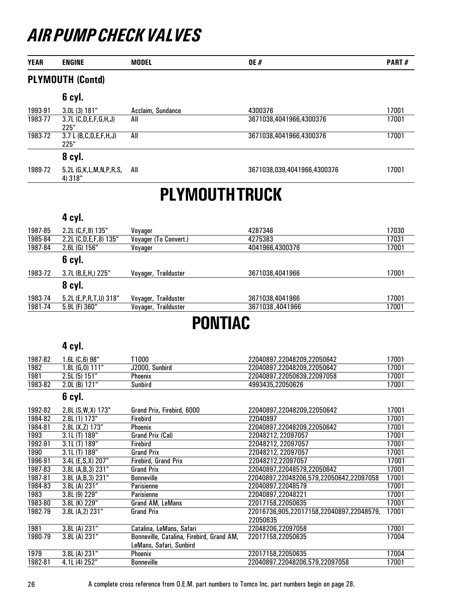| <b>YEAR</b> | <b>ENGINE</b>                       | <b>MODEL</b>          | <b>OE#</b>                  | <b>PART#</b> |
|-------------|-------------------------------------|-----------------------|-----------------------------|--------------|
|             | <b>PLYMOUTH (Contd)</b>             |                       |                             |              |
|             | 6 cyl.                              |                       |                             |              |
| 1993-91     | 3.0L (3) 181"                       | Acclaim, Sundance     | 4300376                     | 17001        |
| 1983-77     | $3.7L$ (C,D,E,F,G,H,J)<br>225"      | All                   | 3671038,4041966,4300376     | 17001        |
| 1983-72     | $3.7 L$ (B,C,D,E,F,H,J)<br>225"     | All                   | 3671038,4041966,4300376     | 17001        |
|             | 8 cyl.                              |                       |                             |              |
| 1989-72     | $5.2L$ (G,K,L,M,N,P,R,S,<br>4) 318" | All                   | 3671038,039,4041966,4300376 | 17001        |
|             |                                     |                       | <b>PLYMOUTH TRUCK</b>       |              |
|             | 4 cyl.                              |                       |                             |              |
| 1987-85     | 2.2L (C,F,8) 135"                   | Voyager               | 4287346                     | 17030        |
| 1985-84     | 2.2L (C,D,E,F,8) 135"               | Voyager (To Convert.) | 4275383                     | 17031        |
| 1987-84     | 2.6L (G) 156"                       | Voyager               | 4041966,4300376             | 17001        |
|             | 6 cyl.                              |                       |                             |              |
| 1983-72     | 3.7L (B,E,H,) 225"                  | Voyager, Trailduster  | 3671038,4041966             | 17001        |

|         | cvI.<br>0             |                         |                 |       |
|---------|-----------------------|-------------------------|-----------------|-------|
| 1983-74 | 5.2L (E,P,R,T,U) 318" | Trailduster<br>Vovager, | 3671038.4041966 | 17001 |
| 1981-74 | $5.9L$ (F) $360"$     | Trailduster<br>Voyager, | 3671038.4041966 | 17001 |
|         |                       |                         |                 |       |

### PONTIAC

#### 4 cyl.

| 1987-82 | . .6L (C.6) 98" | 1000           | 22040897.22048209.22050642 | 7001  |
|---------|-----------------|----------------|----------------------------|-------|
| 1982    | .8L (G.O) 111"  | J2000. Sunbird | 22040897.22048209.22050642 | 17001 |
| 1981    | 2.5L(5) 151"    | Phoenix        | 22040897.22050639.22097058 | 17001 |
| 1983-82 | $2.0L$ (B) 121" | Sunbird        | 4993435.22050626           | 17001 |

| 1992-82 | 2.8L (S, W, X) 173" | Grand Prix, Firebird, 6000                | 22040897.22048209.22050642               | 17001 |
|---------|---------------------|-------------------------------------------|------------------------------------------|-------|
| 1984-82 | 2.8L (1) 173"       | <b>Firebird</b>                           | 22040897                                 | 17001 |
| 1984-81 | 2.8L (X.Z) 173"     | <b>Phoenix</b>                            | 22040897.22048209.22050642               | 17001 |
| 1993    | 3.1L (T) 189"       | Grand Prix (Cal)                          | 22048212, 22097057                       | 17001 |
| 1992-91 | 3.1L(T) 189"        | Firebird                                  | 22048212, 22097057                       | 17001 |
| 1990    | 3.1L (T) 189"       | <b>Grand Prix</b>                         | 22048212, 22097057                       | 17001 |
| 1996-91 | 3.4L (E, S, X) 207" | <b>Firebird, Grand Prix</b>               | 22048212,22097057                        | 17001 |
| 1987-83 | 3.8L (A,B,3) 231"   | <b>Grand Prix</b>                         | 22040897,22048579,22050642               | 17001 |
| 1987-81 | 3.8L (A,B,3) 231"   | <b>Bonneville</b>                         | 22040897,22048206,579,22050642,22097058  | 17001 |
| 1984-83 | 3.8L (A) 231"       | Parisienne                                | 22040897,22048579                        | 17001 |
| 1983    | 3.8L (9) 229"       | Parisienne                                | 22040897.22048221                        | 17001 |
| 1983-80 | 3.8L (K) 229"       | Grand AM, LeMans                          | 22017158.22050635                        | 17001 |
| 1982-79 | 3.8L (A, 2) 231"    | <b>Grand Prix</b>                         | 22016736,905,22017158,22040897,22048579, | 17001 |
|         |                     |                                           | 22050635                                 |       |
| 1981    | 3.8L (A) 231"       | Catalina, LeMans, Safari                  | 22048206.22097058                        | 17001 |
| 1980-79 | 3.8L (A) 231"       | Bonneville, Catalina, Firebird, Grand AM, | 22017158,22050635                        | 17004 |
|         |                     | LeMans, Safari, Sunbird                   |                                          |       |
| 1979    | 3.8L (A) 231"       | Phoenix                                   | 22017158.22050635                        | 17004 |
| 1982-81 | 4.1L (4) 252"       | <b>Bonneville</b>                         | 22040897,22048206,579,22097058           | 17001 |
|         |                     |                                           |                                          |       |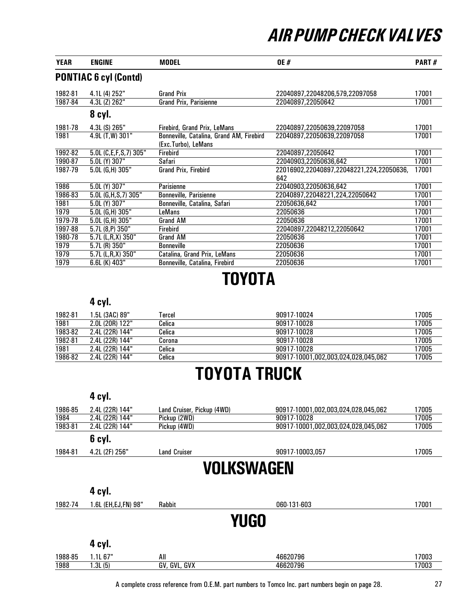| <b>YEAR</b> | <b>ENGINE</b>                | <b>MODEL</b>                             | <b>OE#</b>                               | <b>PART#</b> |
|-------------|------------------------------|------------------------------------------|------------------------------------------|--------------|
|             | <b>PONTIAC 6 cyl (Contd)</b> |                                          |                                          |              |
| 1982-81     | 4.1L (4) 252"                | <b>Grand Prix</b>                        | 22040897,22048206,579,22097058           | 17001        |
| 1987-84     | 4.3L (Z) 262"                | <b>Grand Prix, Parisienne</b>            | 22040897,22050642                        | 17001        |
|             | 8 cyl.                       |                                          |                                          |              |
| 1981-78     | 4.3L (S) 265"                | Firebird, Grand Prix, LeMans             | 22040897,22050639,22097058               | 17001        |
| 1981        | 4.9L (T, W) 301"             | Bonneville, Catalina, Grand AM, Firebird | 22040897,22050639,22097058               | 17001        |
|             |                              | (Exc.Turbo), LeMans                      |                                          |              |
| 1992-82     | 5.0L (C,E,F,S,7) 305"        | <b>Firebird</b>                          | 22040897.22050642                        | 17001        |
| 1990-87     | 5.0L (Y) 307"                | Safari                                   | 22040903.22050636.642                    | 17001        |
| 1987-79     | $5.0L$ (G,H) 305"            | Grand Prix, Firebird                     | 22016902,22040897,22048221,224,22050636, | 17001        |
|             |                              |                                          | 642                                      |              |
| 1986        | 5.0L (Y) 307"                | <b>Parisienne</b>                        | 22040903.22050636.642                    | 17001        |
| 1986-83     | $5.0L$ (G, H, S, 7) 305"     | <b>Bonneville, Parisienne</b>            | 22040897,22048221,224,22050642           | 17001        |
| 1981        | 5.0L (Y) 307"                | Bonneville, Catalina, Safari             | 22050636,642                             | 17001        |
| 1979        | $5.0L$ (G,H) 305"            | LeMans                                   | 22050636                                 | 17001        |
| 1979-78     | 5.0L (G.H) 305"              | Grand AM                                 | 22050636                                 | 17001        |
| 1997-88     | $5.7L(8,P)$ 350"             | <b>Firebird</b>                          | 22040897,22048212,22050642               | 17001        |
| 1980-78     | 5.7L (L,R,X) 350"            | <b>Grand AM</b>                          | 22050636                                 | 17001        |
| 1979        | 5.7L (R) 350"                | <b>Bonneville</b>                        | 22050636                                 | 17001        |
| 1979        | 5.7L (L,R,X) 350"            | Catalina, Grand Prix, LeMans             | 22050636                                 | 17001        |
| 1979        | 6.6L (K) 403"                | Bonneville, Catalina, Firebird           | 22050636                                 | 17001        |

# TOYOTA

### 4 cyl.

| 1982-81 | 1.5L (3AC) 89"  | <b>Tercel</b> | 90917-10024                         | 17005 |
|---------|-----------------|---------------|-------------------------------------|-------|
| 1981    | 2.0L (20R) 122" | Celica        | 90917-10028                         | 17005 |
| 1983-82 | 2.4L (22R) 144" | Celica        | 90917-10028                         | 17005 |
| 1982-81 | 2.4L (22R) 144" | Corona        | 90917-10028                         | 17005 |
| 1981    | 2.4L (22R) 144" | Celica        | 90917-10028                         | 17005 |
| 1986-82 | 2.4L (22R) 144" | Celica        | 90917-10001,002,003,024,028,045,062 | 17005 |

### TOYOTA TRUCK

|         | 4 cyl.                          |                            |                                     |       |  |
|---------|---------------------------------|----------------------------|-------------------------------------|-------|--|
| 1986-85 | 2.4L (22R) 144"                 | Land Cruiser, Pickup (4WD) | 90917-10001,002,003,024,028,045,062 | 17005 |  |
| 1984    | 2.4L (22R) 144"                 | Pickup (2WD)               | 90917-10028                         | 17005 |  |
| 1983-81 | 2.4L (22R) 144"<br>Pickup (4WD) |                            | 90917-10001,002,003,024,028,045,062 | 17005 |  |
|         | 6 cyl.                          |                            |                                     |       |  |
| 1984-81 | 4.2L (2F) 256"                  | <b>Land Cruiser</b>        | 90917-10003.057                     | 17005 |  |
|         |                                 |                            | VOLKSWAGEN                          |       |  |
|         | 4 cyl.                          |                            |                                     |       |  |
| 1982-74 | 1.6L (EH, EJ, FN) 98"           | <b>Rabbit</b>              | 060-131-603                         | 17001 |  |
|         |                                 |                            | <b>YUGO</b>                         |       |  |
|         | 4 cyl.                          |                            |                                     |       |  |
| 1988-85 | 1.1L 67"                        | All                        | 46620796                            | 17003 |  |
| 1988    | 1.3L(5)                         | GV, GVL, GVX               | 46620796                            | 17003 |  |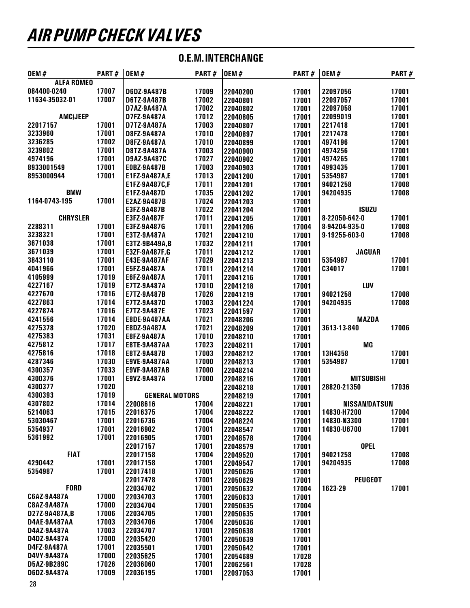| <b>OEM#</b>                  | PART#          | <b>OEM#</b>           | PART#          | <b>OEM#</b>          | PART# | <b>OEM#</b>          | PART# |
|------------------------------|----------------|-----------------------|----------------|----------------------|-------|----------------------|-------|
| <b>ALFA ROMEO</b>            |                |                       |                |                      |       |                      |       |
| 084400-0240                  | 17007          | D6DZ-9A487B           | 17009          | 22040200             | 17001 | 22097056             | 17001 |
| 11634-35032-01               | 17007          | D6TZ-9A487B           | 17002          | 22040801             | 17001 | 22097057             | 17001 |
|                              |                | D7AZ-9A487A           | 17002          | 22040802             | 17001 | 22097058             | 17001 |
| <b>AMC/JEEP</b>              |                | D7FZ-9A487A           | 17012          | 22040805             | 17001 | 22099019             | 17001 |
| 22017157                     | 17001          | D7TZ-9A487A           | 17003          | 22040807             | 17001 | 2217418              | 17001 |
| 3233960                      | 17001          | <b>D8FZ-9A487A</b>    | 17010          | 22040897             | 17001 | 2217478              | 17001 |
| 3236285                      | 17002          | D8FZ-9A487A           | 17010          | 22040899             | 17001 | 4974196              | 17001 |
| 3239802                      | 17001          | D8TZ-9A487A           | 17003          | 22040900             | 17001 | 4974256              | 17001 |
| 4974196                      | 17001          | D9AZ-9A487C           | 17027          | 22040902             | 17001 | 4974265              | 17001 |
| 8933001549                   | 17001          | E0BZ-9A487B           | 17003          | 22040903             | 17001 | 4993435              | 17001 |
| 8953000944                   | 17001          | E1FZ-9A487A,E         | 17013          | 22041200             | 17001 | 5354987              | 17001 |
|                              |                | E1FZ-9A487C,F         | 17011          | 22041201             | 17001 | 94021258             | 17008 |
| <b>BMW</b>                   |                | E1FZ-9A487D           | 17035          | 22041202             | 17001 | 94204935             | 17008 |
| 1164-0743-195                | 17001          | E2AZ-9A487B           | 17024          | 22041203             | 17001 |                      |       |
|                              |                | E3FZ-9A487B           | 17022          | 22041204             | 17001 | <b>ISUZU</b>         |       |
| <b>CHRYSLER</b>              |                | E3FZ-9A487F           | 17011          | 22041205             | 17001 | 8-22050-642-0        | 17001 |
| 2288311                      | 17001          | E3FZ-9A487G           | 17011          | 22041206             | 17004 | 8-94204-935-0        | 17008 |
| 3238321                      | 17001          | E3TZ-9A487A           | 17021          | 22041210             | 17001 | 9-19255-603-0        | 17008 |
| 3671038                      | 17001          | E3TZ-9B449A,B         | 17032          | 22041211             | 17001 |                      |       |
| 3671039                      | 17001          | E3ZF-9A487F,G         | 17011          | 22041212             | 17001 | <b>JAGUAR</b>        |       |
| 3843110                      | 17001          | E43E-9A487AF          | 17029          | 22041213             | 17001 | 5354987              | 17001 |
| 4041966                      | 17001          | <b>E5FZ-9A487A</b>    | 17011          | 22041214             | 17001 | C34017               | 17001 |
| 4105999                      | 17019          | E6FZ-9A487A           | 17011          | 22041216             | 17001 |                      |       |
| 4227167                      | 17019          | E7TZ-9A487A           | 17010          | 22041218             | 17001 | LUV                  |       |
| 4227670                      | 17016          | E7TZ-9A487B           | 17026          | 22041219             | 17001 | 94021258             | 17008 |
| 4227863                      | 17014          | E7TZ-9A487D           | 17003          | 22041224             | 17001 | 94204935             | 17008 |
| 4227874                      | 17016          | E7TZ-9A487E           | 17023          | 22041597             | 17001 |                      |       |
| 4241556                      | 17014          | <b>E8DE-9A487AA</b>   | 17021          | 22048206             | 17001 | <b>MAZDA</b>         |       |
| 4275378                      | 17020          | E8DZ-9A487A           | 17021          | 22048209             | 17001 | 3613-13-840          | 17006 |
| 4275383                      | 17031          | E8FZ-9A487A           | 17010          | 22048210             | 17001 |                      |       |
| 4275812                      | 17017          | <b>E8TE-9A487AA</b>   | 17023          | 22048211             | 17001 | MG                   |       |
| 4275816                      | 17018          | E8TZ-9A487B           | 17003          | 22048212             | 17001 | 13H4358              | 17001 |
| 4287346                      | 17030          | <b>E9VE-9A487AA</b>   | 17000          | 22048213             | 17001 | 5354987              | 17001 |
| 4300357                      | 17033          | <b>E9VF-9A487AB</b>   | 17000          | 22048214             | 17001 |                      |       |
| 4300376                      | 17001          | E9VZ-9A487A           | 17000          | 22048216             | 17001 | <b>MITSUBISHI</b>    |       |
| 4300377                      | 17020          |                       |                | 22048218             | 17001 | 28820-21350          | 17036 |
| 4300393                      | 17019          | <b>GENERAL MOTORS</b> |                | 22048219             | 17001 |                      |       |
| 4307802                      | 17014          | 22008616              | 17004          | 22048221             | 17001 | <b>NISSAN/DATSUN</b> |       |
| 5214063                      | 17015          | 22016375              | 17004          | 22048222             | 17001 | 14830-H7200          | 17004 |
| 53030467                     | 17001          | 22016736              | 17004          | 22048224             | 17001 | 14830-N3300          | 17001 |
| 5354937                      | 17001          | 22016902              | 17001          | 22048547             | 17001 | 14830-U6700          | 17001 |
| 5361992                      | 17001          | 22016905              | 17001          | 22048578             | 17004 |                      |       |
|                              |                | 22017157              | 17001          | 22048579             | 17001 | <b>OPEL</b>          |       |
| <b>FIAT</b>                  |                | 22017158              | 17004          | 22049520             | 17001 | 94021258             | 17008 |
| 4290442                      | 17001          | 22017158              | 17001          | 22049547             | 17001 | 94204935             | 17008 |
| 5354987                      | 17001          | 22017418              | 17001          | 22050626             | 17001 |                      |       |
|                              |                | 22017478              | 17001          | 22050629             | 17001 | <b>PEUGEOT</b>       |       |
| <b>FORD</b>                  |                | 22034702              | 17001          | 22050632             | 17004 | 1623-29              | 17001 |
| C6AZ-9A487A                  | 17000          | 22034703              | 17001          | 22050633             | 17001 |                      |       |
| C8AZ-9A487A<br>D27Z-9A487A,B | 17000<br>17006 | 22034704              | 17001          | 22050635             | 17004 |                      |       |
|                              |                | 22034705              | 17001          | 22050635             | 17001 |                      |       |
| <b>D4AE-9A487AA</b>          | 17003<br>17003 | 22034706<br>22034707  | 17004<br>17001 | 22050636             | 17001 |                      |       |
| D4AZ-9A487A<br>D4DZ-9A487A   | 17000          | 22035420              | 17001          | 22050638             | 17001 |                      |       |
| D4FZ-9A487A                  | 17001          | 22035501              | 17001          | 22050639             | 17001 |                      |       |
| D4VY-9A487A                  | 17000          | 22035625              | 17001          | 22050642             | 17001 |                      |       |
| D5AZ-9B289C                  | 17026          | 22036060              | 17001          | 22054689<br>22062561 | 17028 |                      |       |
| D6DZ-9A487A                  | 17009          | 22036195              | 17001          | 22097053             | 17028 |                      |       |
|                              |                |                       |                |                      | 17001 |                      |       |

### O.E.M. INTERCHANGE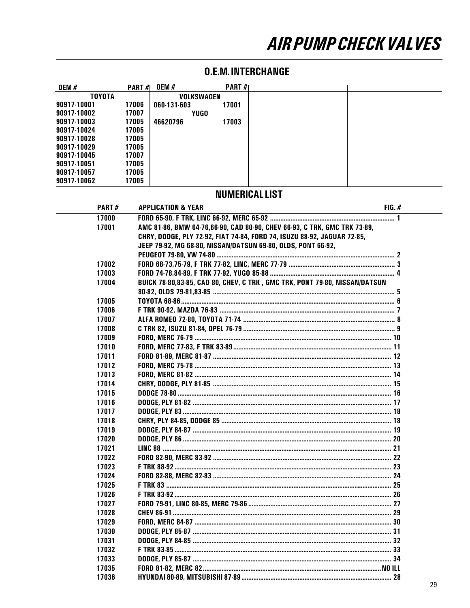| 0EM #         | <b>PART#1</b> | <b>OEM#</b> | <b>PART</b> $#$ |  |
|---------------|---------------|-------------|-----------------|--|
| <b>TOYOTA</b> |               | VOLKSWAGEN  |                 |  |
| 90917-10001   | 17006         | 060-131-603 | 17001           |  |
| 90917-10002   | 17007         | <b>YUGO</b> |                 |  |
| 90917-10003   | 17005         | 46620796    | 17003           |  |
| 90917-10024   | 17005         |             |                 |  |
| 90917-10028   | 17005         |             |                 |  |
| 90917-10029   | 17005         |             |                 |  |
| 90917-10045   | 17007         |             |                 |  |
| 90917-10051   | 17005         |             |                 |  |
| 90917-10057   | 17005         |             |                 |  |
| 90917-10062   | 17005         |             |                 |  |

#### **O.E.M. INTERCHANGE**

#### **NUMERICALLIST**

| <b>PART#</b> | <b>APPLICATION &amp; YEAR</b>                                              | FIG. # |
|--------------|----------------------------------------------------------------------------|--------|
| 17000        |                                                                            |        |
| 17001        | AMC 81-86, BMW 64-76,66-90, CAD 80-90, CHEV 66-93, C TRK, GMC TRK 73-89,   |        |
|              | CHRY, DODGE, PLY 72-92, FIAT 74-84, FORD 74, ISUZU 88-92, JAGUAR 72-85,    |        |
|              | JEEP 79-92, MG 68-80, NISSAN/DATSUN 69-80, OLDS, PONT 66-92,               |        |
|              |                                                                            |        |
| 17002        |                                                                            |        |
| 17003        |                                                                            |        |
| 17004        | BUICK 78-80,83-85, CAD 80, CHEV, C TRK, GMC TRK, PONT 79-80, NISSAN/DATSUN |        |
|              |                                                                            |        |
| 17005        |                                                                            |        |
| 17006        |                                                                            |        |
| 17007        |                                                                            |        |
| 17008        |                                                                            |        |
| 17009        |                                                                            |        |
| 17010        |                                                                            |        |
| 17011        |                                                                            |        |
| 17012        |                                                                            |        |
| 17013        |                                                                            |        |
| 17014        |                                                                            |        |
| 17015        |                                                                            |        |
| 17016        |                                                                            |        |
| 17017        |                                                                            |        |
| 17018        |                                                                            |        |
| 17019        |                                                                            |        |
| 17020        |                                                                            |        |
| 17021        |                                                                            |        |
| 17022        |                                                                            |        |
| 17023        |                                                                            |        |
| 17024        |                                                                            |        |
| 17025        |                                                                            |        |
| 17026        |                                                                            |        |
| 17027        |                                                                            |        |
| 17028        |                                                                            |        |
| 17029        |                                                                            |        |
| 17030        |                                                                            |        |
| 17031        |                                                                            |        |
| 17032        |                                                                            |        |
| 17033        |                                                                            |        |
| 17035        |                                                                            |        |
| 17036        |                                                                            |        |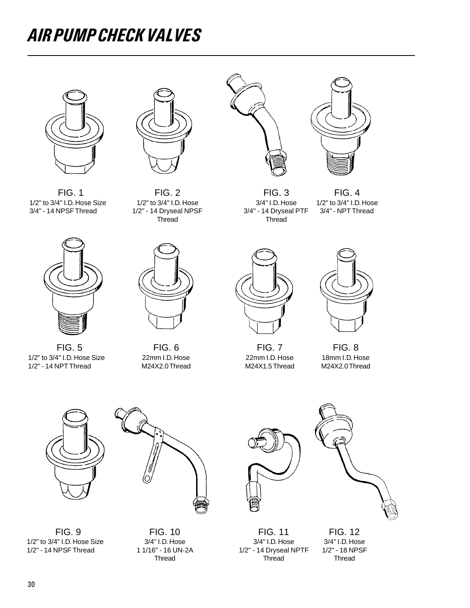

1/2" to 3/4" I.D. Hose Size 1/2" to 3/4" I.D. Hose 3/4" I.D. Hose 1/2" to 3/4" I.D. Hose 3/4" - 14 NPSF Thread<br>3/4" - 14 NPSF Thread 1/2" - 14 Dryseal NPSF 3/4" - 14 Dryseal PTF 3/4" - NPT Thread



1/2" to 3/4" I.D. Hose Size 22mm I.D. Hose 22mm I.D. Hose 18mm I.D. Hose 22mm I.D. Hose 22mm I.D. Hose 1/2" - 14 NPT Thread  $1/2"$  - 14 NPT Thread



FIG. 1 FIG. 2 FIG. 3 FIG. 4 1/2" - 14 Dryseal NPSF<br>Thread



**Thread** 





FIG. 5 FIG. 6 FIG. 7 FIG. 8







1/2" to 3/4" I.D. Hose Size 3/4" I.D. Hose 3/4" I.D. Hose 3/4" I.D. Hose 3/4" I.D. Hose 3/4" I.D. Hose 3/4" I.D<br>11/16" - 16 UN-2A 1/2" - 14 Dryseal NPTF 1/2" - 18 NPSF





FIG. 9 FIG. 10 FIG. 11 FIG. 12 1/2" - 14 Dryseal NPTF 1/2" - 16 UN-2A 1/2" - 14 Dryseal NPTF 1/2" - 18 NF Thread

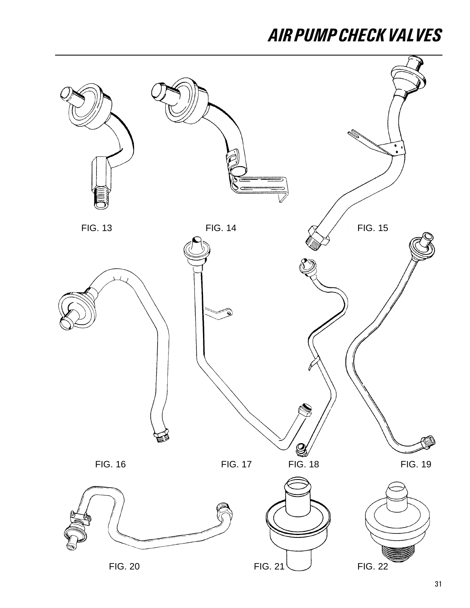